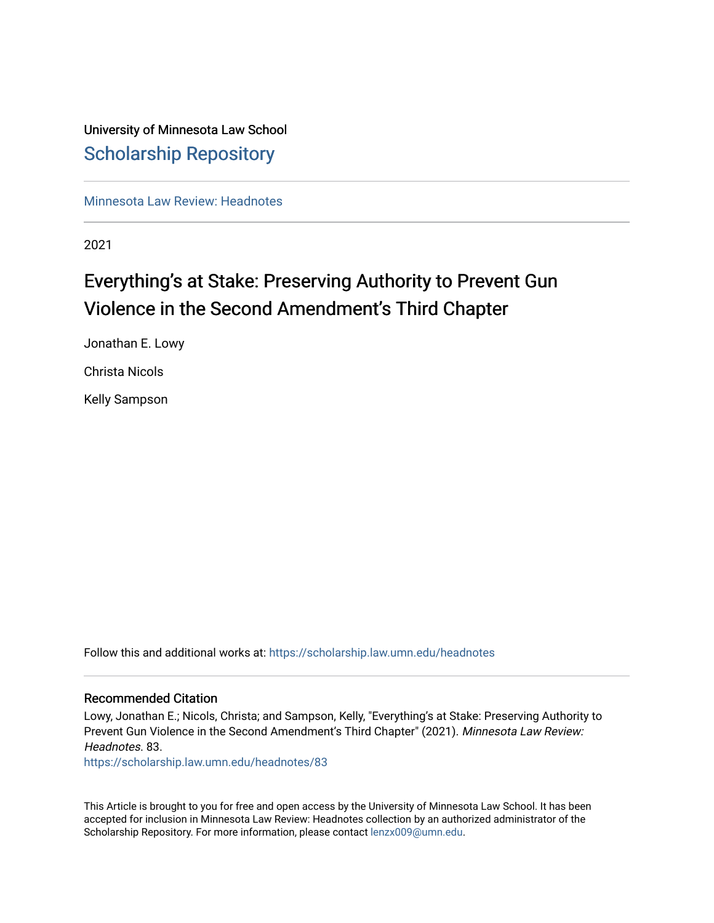# University of Minnesota Law School [Scholarship Repository](https://scholarship.law.umn.edu/)

[Minnesota Law Review: Headnotes](https://scholarship.law.umn.edu/headnotes) 

2021

# Everything's at Stake: Preserving Authority to Prevent Gun Violence in the Second Amendment's Third Chapter

Jonathan E. Lowy Christa Nicols

Kelly Sampson

Follow this and additional works at: [https://scholarship.law.umn.edu/headnotes](https://scholarship.law.umn.edu/headnotes?utm_source=scholarship.law.umn.edu%2Fheadnotes%2F83&utm_medium=PDF&utm_campaign=PDFCoverPages) 

# Recommended Citation

Lowy, Jonathan E.; Nicols, Christa; and Sampson, Kelly, "Everything's at Stake: Preserving Authority to Prevent Gun Violence in the Second Amendment's Third Chapter" (2021). Minnesota Law Review: Headnotes. 83.

[https://scholarship.law.umn.edu/headnotes/83](https://scholarship.law.umn.edu/headnotes/83?utm_source=scholarship.law.umn.edu%2Fheadnotes%2F83&utm_medium=PDF&utm_campaign=PDFCoverPages)

This Article is brought to you for free and open access by the University of Minnesota Law School. It has been accepted for inclusion in Minnesota Law Review: Headnotes collection by an authorized administrator of the Scholarship Repository. For more information, please contact [lenzx009@umn.edu.](mailto:lenzx009@umn.edu)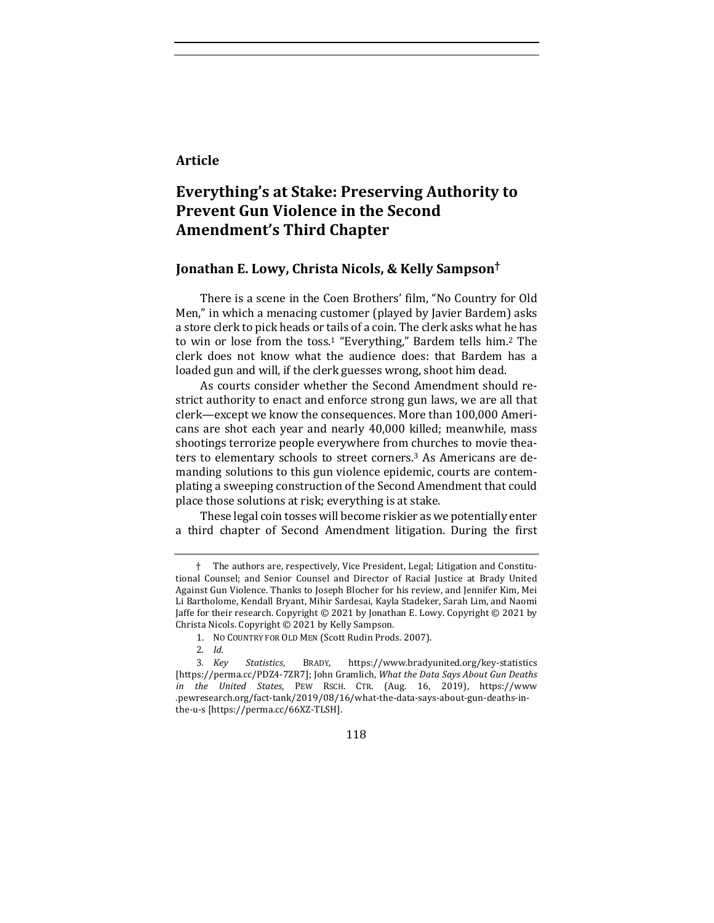# **Article**

# **Everything's at Stake: Preserving Authority to Prevent Gun Violence in the Second Amendment's Third Chapter**

# **Jonathan E. Lowy, Christa Nicols, & Kelly Sampson†**

There is a scene in the Coen Brothers' film, "No Country for Old Men," in which a menacing customer (played by Javier Bardem) asks a store clerk to pick heads or tails of a coin. The clerk asks what he has to win or lose from the toss.<sup>1</sup> "Everything," Bardem tells him.<sup>2</sup> The clerk does not know what the audience does: that Bardem has a loaded gun and will, if the clerk guesses wrong, shoot him dead.

As courts consider whether the Second Amendment should restrict authority to enact and enforce strong gun laws, we are all that clerk—except we know the consequences. More than 100,000 Americans are shot each year and nearly 40,000 killed; meanwhile, mass shootings terrorize people everywhere from churches to movie theaters to elementary schools to street corners.<sup>3</sup> As Americans are demanding solutions to this gun violence epidemic, courts are contemplating a sweeping construction of the Second Amendment that could place those solutions at risk; everything is at stake.

These legal coin tosses will become riskier as we potentially enter a third chapter of Second Amendment litigation. During the first

118

The authors are, respectively, Vice President, Legal; Litigation and Constitutional Counsel; and Senior Counsel and Director of Racial Justice at Brady United Against Gun Violence. Thanks to Joseph Blocher for his review, and Jennifer Kim, Mei Li Bartholome, Kendall Bryant, Mihir Sardesai, Kayla Stadeker, Sarah Lim, and Naomi Jaffe for their research. Copyright  $\odot$  2021 by Jonathan E. Lowy. Copyright  $\odot$  2021 by Christa Nicols. Copyright © 2021 by Kelly Sampson.

<sup>1.</sup> NO COUNTRY FOR OLD MEN (Scott Rudin Prods. 2007).

<sup>2</sup>*. Id.*

<sup>3</sup>*. Key Statistics*, BRADY, https://www.bradyunited.org/key-statistics [https://perma.cc/PDZ4-7ZR7]; John Gramlich, What the Data Says About Gun Deaths *in the United States*, PEW RSCH. CTR. (Aug. 16, 2019), https://www .pewresearch.org/fact-tank/2019/08/16/what-the-data-says-about-gun-deaths-inthe-u-s [https://perma.cc/66XZ-TLSH].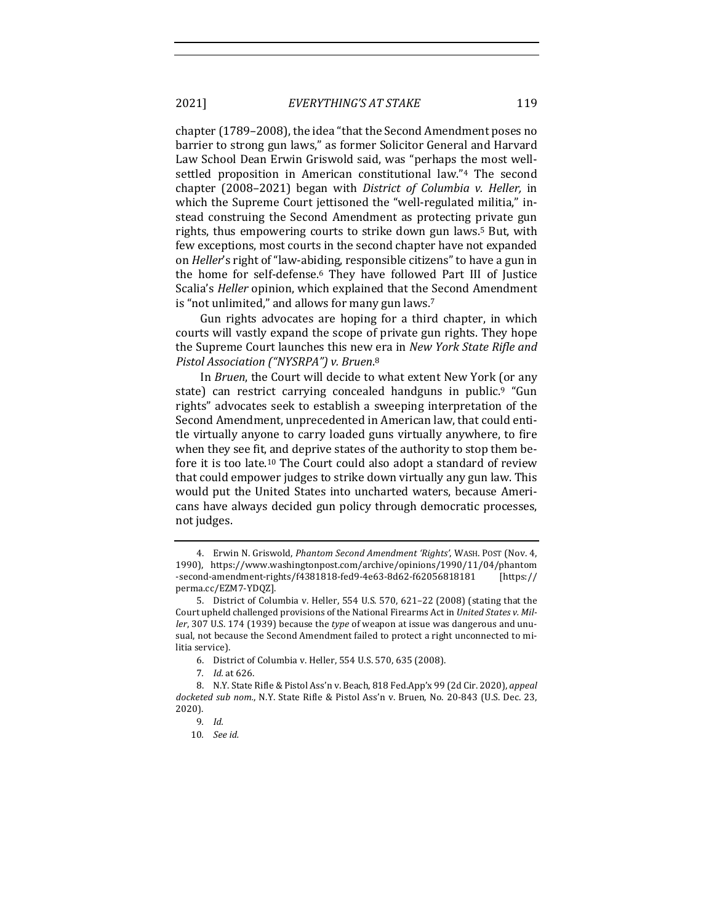2021] *EVERYTHING'S AT STAKE* 119

chapter (1789–2008), the idea "that the Second Amendment poses no barrier to strong gun laws," as former Solicitor General and Harvard Law School Dean Erwin Griswold said, was "perhaps the most wellsettled proposition in American constitutional law."<sup>4</sup> The second chapter (2008–2021) began with *District of Columbia v. Heller*, in which the Supreme Court jettisoned the "well-regulated militia," instead construing the Second Amendment as protecting private gun rights, thus empowering courts to strike down gun laws.<sup>5</sup> But, with few exceptions, most courts in the second chapter have not expanded on *Heller's* right of "law-abiding, responsible citizens" to have a gun in the home for self-defense.<sup>6</sup> They have followed Part III of Justice Scalia's *Heller* opinion, which explained that the Second Amendment is "not unlimited," and allows for many gun laws. $7$ 

Gun rights advocates are hoping for a third chapter, in which courts will vastly expand the scope of private gun rights. They hope the Supreme Court launches this new era in *New York State Rifle and* Pistol Association ("NYSRPA") v. Bruen.<sup>8</sup>

In *Bruen*, the Court will decide to what extent New York (or any state) can restrict carrying concealed handguns in public.<sup>9</sup> "Gun rights" advocates seek to establish a sweeping interpretation of the Second Amendment, unprecedented in American law, that could entitle virtually anyone to carry loaded guns virtually anywhere, to fire when they see fit, and deprive states of the authority to stop them before it is too late.<sup>10</sup> The Court could also adopt a standard of review that could empower judges to strike down virtually any gun law. This would put the United States into uncharted waters, because Americans have always decided gun policy through democratic processes, not judges.

<sup>4.</sup> Erwin N. Griswold, *Phantom Second Amendment 'Rights'*, WASH. POST (Nov. 4, 1990), https://www.washingtonpost.com/archive/opinions/1990/11/04/phantom -second-amendment-rights/f4381818-fed9-4e63-8d62-f62056818181 [https:// perma.cc/EZM7-YDQZ].

<sup>5.</sup> District of Columbia v. Heller, 554 U.S. 570, 621-22 (2008) (stating that the Court upheld challenged provisions of the National Firearms Act in *United States v. Miller*, 307 U.S. 174 (1939) because the *type* of weapon at issue was dangerous and unusual, not because the Second Amendment failed to protect a right unconnected to militia service).

<sup>6.</sup> District of Columbia v. Heller, 554 U.S. 570, 635 (2008).

<sup>7</sup>*. Id.* at 626.

<sup>8.</sup> N.Y. State Rifle & Pistol Ass'n v. Beach, 818 Fed.App'x 99 (2d Cir. 2020), appeal docketed sub nom., N.Y. State Rifle & Pistol Ass'n v. Bruen, No. 20-843 (U.S. Dec. 23, 2020).

<sup>9</sup>*. Id.*

<sup>10</sup>*. See id.*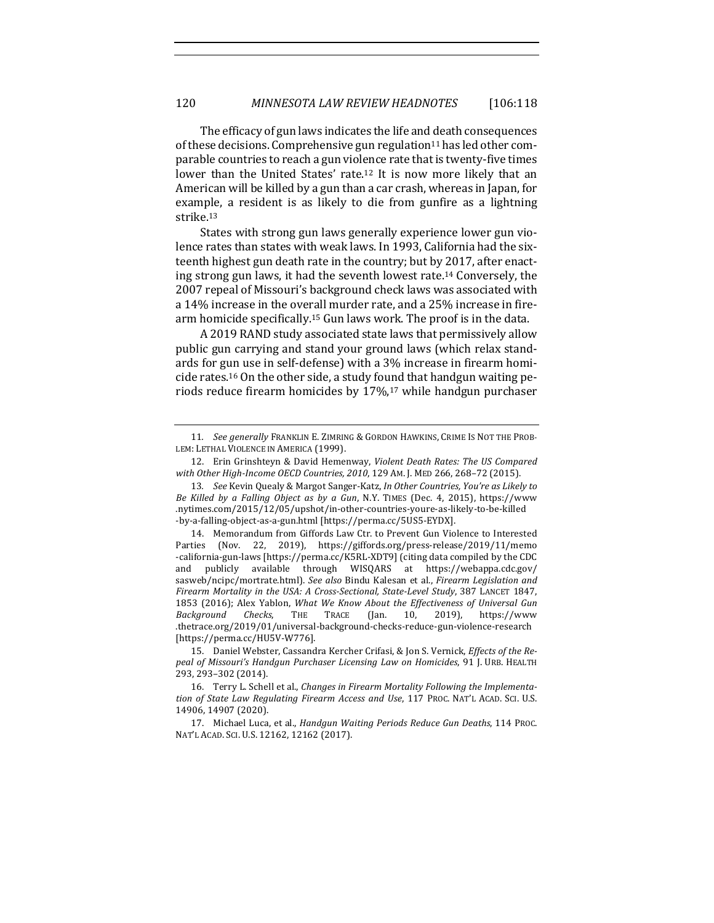The efficacy of gun laws indicates the life and death consequences of these decisions. Comprehensive gun regulation<sup>11</sup> has led other comparable countries to reach a gun violence rate that is twenty-five times lower than the United States' rate.<sup>12</sup> It is now more likely that an American will be killed by a gun than a car crash, whereas in Japan, for example, a resident is as likely to die from gunfire as a lightning strike. 13

States with strong gun laws generally experience lower gun violence rates than states with weak laws. In 1993, California had the sixteenth highest gun death rate in the country; but by 2017, after enacting strong gun laws, it had the seventh lowest rate.<sup>14</sup> Conversely, the 2007 repeal of Missouri's background check laws was associated with a 14% increase in the overall murder rate, and a 25% increase in firearm homicide specifically.<sup>15</sup> Gun laws work. The proof is in the data.

A 2019 RAND study associated state laws that permissively allow public gun carrying and stand your ground laws (which relax standards for gun use in self-defense) with a 3% increase in firearm homicide rates.<sup>16</sup> On the other side, a study found that handgun waiting periods reduce firearm homicides by  $17\%$ ,<sup>17</sup> while handgun purchaser

<sup>11.</sup> *See generally* FRANKLIN E. ZIMRING & GORDON HAWKINS, CRIME IS NOT THE PROB-LEM: LETHAL VIOLENCE IN AMERICA (1999).

<sup>12.</sup> Erin Grinshteyn & David Hemenway, *Violent Death Rates: The US Compared* with Other High-Income OECD Countries, 2010, 129 AM. J. MED 266, 268-72 (2015).

<sup>13.</sup> See Kevin Quealy & Margot Sanger-Katz, *In Other Countries, You're as Likely to Be Killed by a Falling Object as by a Gun, N.Y. TIMES (Dec. 4, 2015), https://www* .nytimes.com/2015/12/05/upshot/in-other-countries-youre-as-likely-to-be-killed -by-a-falling-object-as-a-gun.html [https://perma.cc/5US5-EYDX].

<sup>14.</sup> Memorandum from Giffords Law Ctr. to Prevent Gun Violence to Interested Parties (Nov. 22, 2019), https://giffords.org/press-release/2019/11/memo -california-gun-laws [https://perma.cc/K5RL-XDT9] (citing data compiled by the CDC and publicly available through WISQARS at https://webappa.cdc.gov/ sasweb/ncipc/mortrate.html). See also Bindu Kalesan et al., *Firearm Legislation and* Firearm Mortality in the USA: A Cross-Sectional, State-Level Study, 387 LANCET 1847, 1853 (2016); Alex Yablon, *What We Know About the Effectiveness of Universal Gun Background Checks*, THE TRACE (Jan. 10, 2019), https://www *Background Checks*, THE TRACE (Jan. 10, 2019), https://www .thetrace.org/2019/01/universal-background-checks-reduce-gun-violence-research [https://perma.cc/HU5V-W776].

<sup>15.</sup> Daniel Webster, Cassandra Kercher Crifasi, & Jon S. Vernick, *Effects of the Repeal of Missouri's Handgun Purchaser Licensing Law on Homicides*, 91 J. URB. HEALTH 293, 293–302 (2014).

<sup>16.</sup> Terry L. Schell et al., *Changes in Firearm Mortality Following the Implementa*tion of State Law Regulating Firearm Access and Use, 117 PROC. NAT'L ACAD. SCI. U.S. 14906, 14907 (2020).

<sup>17.</sup> Michael Luca, et al., *Handgun Waiting Periods Reduce Gun Deaths*, 114 PROC. NAT'L ACAD. SCI. U.S. 12162, 12162 (2017).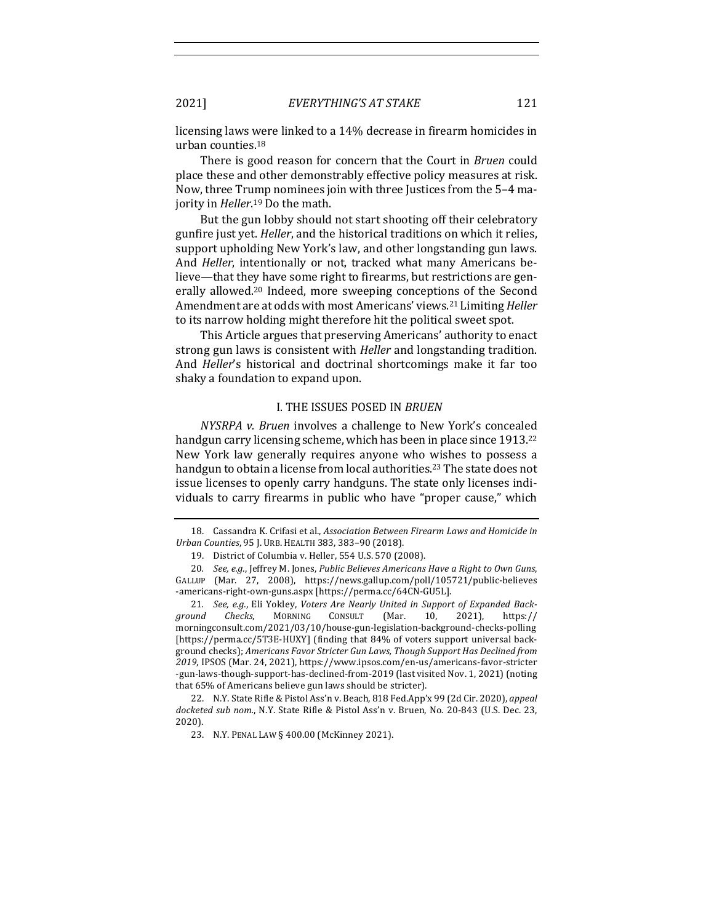2021] *EVERYTHING'S AT STAKE* 121

licensing laws were linked to a 14% decrease in firearm homicides in urban counties. $18$ 

There is good reason for concern that the Court in *Bruen* could place these and other demonstrably effective policy measures at risk. Now, three Trump nominees join with three Justices from the 5-4 majority in *Heller*.<sup>19</sup> Do the math.

But the gun lobby should not start shooting off their celebratory gunfire just yet. *Heller*, and the historical traditions on which it relies, support upholding New York's law, and other longstanding gun laws. And *Heller*, intentionally or not, tracked what many Americans believe—that they have some right to firearms, but restrictions are generally allowed.<sup>20</sup> Indeed, more sweeping conceptions of the Second Amendment are at odds with most Americans' views.<sup>21</sup> Limiting *Heller* to its narrow holding might therefore hit the political sweet spot.

This Article argues that preserving Americans' authority to enact strong gun laws is consistent with *Heller* and longstanding tradition. And *Heller's* historical and doctrinal shortcomings make it far too shaky a foundation to expand upon.

### **L. THE ISSUES POSED IN** *BRUEN*

*NYSRPA v. Bruen* involves a challenge to New York's concealed handgun carry licensing scheme, which has been in place since 1913.<sup>22</sup> New York law generally requires anyone who wishes to possess a handgun to obtain a license from local authorities.<sup>23</sup> The state does not issue licenses to openly carry handguns. The state only licenses individuals to carry firearms in public who have "proper cause," which

<sup>18.</sup> Cassandra K. Crifasi et al., *Association Between Firearm Laws and Homicide in Urban Counties*, 95 J. URB. HEALTH 383, 383–90 (2018).

<sup>19.</sup> District of Columbia v. Heller, 554 U.S. 570 (2008).

<sup>20.</sup> *See, e.g.*, Jeffrey M. Jones, Public Believes Americans Have a Right to Own Guns, GALLUP (Mar. 27, 2008), https://news.gallup.com/poll/105721/public-believes -americans-right-own-guns.aspx [https://perma.cc/64CN-GU5L].

<sup>21.</sup> See, e.g., Eli Yokley, *Voters Are Nearly United in Support of Expanded Background Checks*, MORNING CONSULT (Mar. 10, 2021), https:// morningconsult.com/2021/03/10/house-gun-legislation-background-checks-polling [https://perma.cc/5T3E-HUXY] (finding that 84% of voters support universal background checks); Americans Favor Stricter Gun Laws, Though Support Has Declined from 2019, IPSOS (Mar. 24, 2021), https://www.ipsos.com/en-us/americans-favor-stricter -gun-laws-though-support-has-declined-from-2019 (last visited Nov. 1, 2021) (noting that 65% of Americans believe gun laws should be stricter).

<sup>22.</sup> N.Y. State Rifle & Pistol Ass'n v. Beach, 818 Fed.App'x 99 (2d Cir. 2020), *appeal* docketed sub nom., N.Y. State Rifle & Pistol Ass'n v. Bruen, No. 20-843 (U.S. Dec. 23, 2020).

<sup>23.</sup> N.Y. PENAL LAW § 400.00 (McKinney 2021).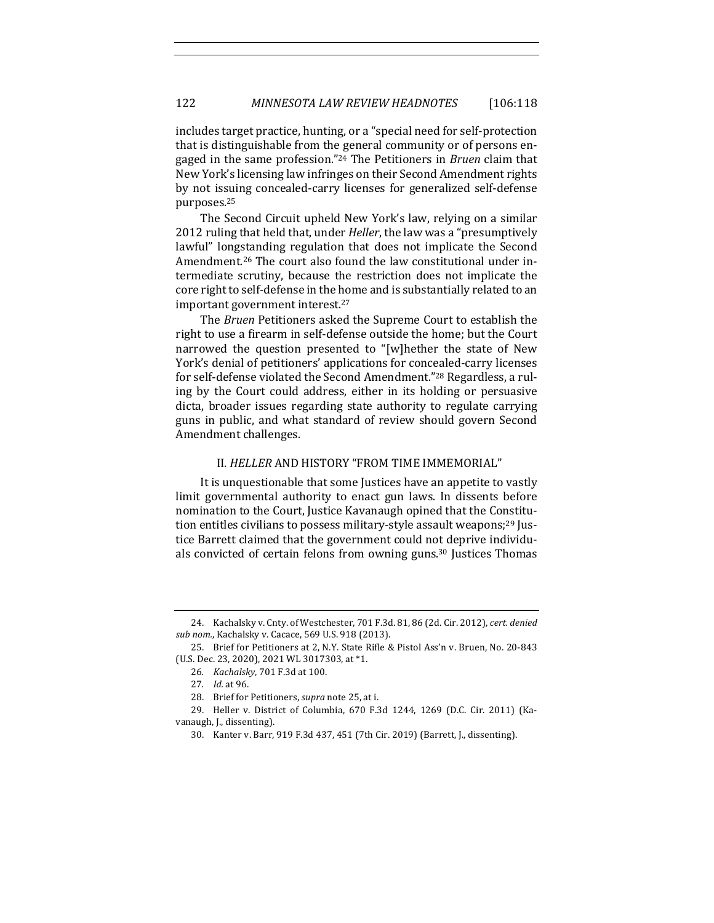includes target practice, hunting, or a "special need for self-protection that is distinguishable from the general community or of persons engaged in the same profession."<sup>24</sup> The Petitioners in *Bruen* claim that New York's licensing law infringes on their Second Amendment rights by not issuing concealed-carry licenses for generalized self-defense purposes.25

The Second Circuit upheld New York's law, relying on a similar 2012 ruling that held that, under *Heller*, the law was a "presumptively lawful" longstanding regulation that does not implicate the Second Amendment.<sup>26</sup> The court also found the law constitutional under intermediate scrutiny, because the restriction does not implicate the core right to self-defense in the home and is substantially related to an important government interest.<sup>27</sup>

The *Bruen* Petitioners asked the Supreme Court to establish the right to use a firearm in self-defense outside the home; but the Court narrowed the question presented to "[w]hether the state of New York's denial of petitioners' applications for concealed-carry licenses for self-defense violated the Second Amendment."<sup>28</sup> Regardless, a ruling by the Court could address, either in its holding or persuasive dicta, broader issues regarding state authority to regulate carrying guns in public, and what standard of review should govern Second Amendment challenges.

#### II. HELLER AND HISTORY "FROM TIME IMMEMORIAL"

It is unquestionable that some Justices have an appetite to vastly limit governmental authority to enact gun laws. In dissents before nomination to the Court, Justice Kavanaugh opined that the Constitution entitles civilians to possess military-style assault weapons;<sup>29</sup> Justice Barrett claimed that the government could not deprive individuals convicted of certain felons from owning guns.<sup>30</sup> Justices Thomas

<sup>24.</sup> Kachalsky v. Cnty. of Westchester, 701 F.3d. 81, 86 (2d. Cir. 2012), cert. denied sub nom., Kachalsky v. Cacace, 569 U.S. 918 (2013).

<sup>25.</sup> Brief for Petitioners at 2, N.Y. State Rifle & Pistol Ass'n v. Bruen, No. 20-843 (U.S. Dec. 23, 2020), 2021 WL 3017303, at \*1.

<sup>26</sup>*. Kachalsky*, 701 F.3d at 100.

<sup>27</sup>*. Id.* at 96.

<sup>28.</sup> Brief for Petitioners, *supra* note 25, at i.

<sup>29.</sup> Heller v. District of Columbia, 670 F.3d 1244, 1269 (D.C. Cir. 2011) (Kavanaugh, J., dissenting).

<sup>30.</sup> Kanter v. Barr, 919 F.3d 437, 451 (7th Cir. 2019) (Barrett, J., dissenting).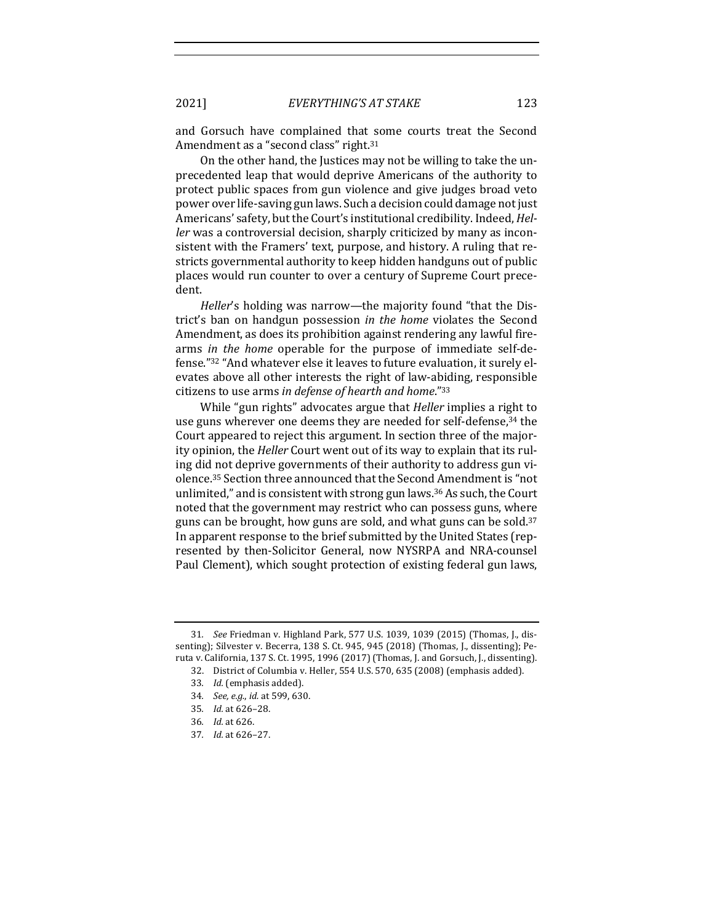and Gorsuch have complained that some courts treat the Second Amendment as a "second class" right.<sup>31</sup>

On the other hand, the Justices may not be willing to take the unprecedented leap that would deprive Americans of the authority to protect public spaces from gun violence and give judges broad veto power over life-saving gun laws. Such a decision could damage not just Americans' safety, but the Court's institutional credibility. Indeed, *Heller* was a controversial decision, sharply criticized by many as inconsistent with the Framers' text, purpose, and history. A ruling that restricts governmental authority to keep hidden handguns out of public places would run counter to over a century of Supreme Court precedent.

*Heller's* holding was narrow—the majority found "that the District's ban on handgun possession *in the home* violates the Second Amendment, as does its prohibition against rendering any lawful firearms *in the home* operable for the purpose of immediate self-defense."<sup>32</sup> "And whatever else it leaves to future evaluation, it surely elevates above all other interests the right of law-abiding, responsible citizens to use arms in defense of hearth and home."<sup>33</sup>

While "gun rights" advocates argue that *Heller* implies a right to use guns wherever one deems they are needed for self-defense,<sup>34</sup> the Court appeared to reject this argument. In section three of the majority opinion, the *Heller* Court went out of its way to explain that its ruling did not deprive governments of their authority to address gun violence.<sup>35</sup> Section three announced that the Second Amendment is "not unlimited," and is consistent with strong gun laws.<sup>36</sup> As such, the Court noted that the government may restrict who can possess guns, where guns can be brought, how guns are sold, and what guns can be sold.<sup>37</sup> In apparent response to the brief submitted by the United States (represented by then-Solicitor General, now NYSRPA and NRA-counsel Paul Clement), which sought protection of existing federal gun laws,

<sup>31.</sup> *See* Friedman v. Highland Park, 577 U.S. 1039, 1039 (2015) (Thomas, J., dissenting); Silvester v. Becerra, 138 S. Ct. 945, 945 (2018) (Thomas, J., dissenting); Peruta v. California, 137 S. Ct. 1995, 1996 (2017) (Thomas, J. and Gorsuch, J., dissenting).

<sup>32.</sup> District of Columbia v. Heller, 554 U.S. 570, 635 (2008) (emphasis added).

<sup>33.</sup> *Id.* (emphasis added).

<sup>34.</sup> *See, e.g., id.* at 599, 630.

<sup>35</sup>*. Id.* at 626–28.

<sup>36</sup>*. Id.* at 626.

<sup>37</sup>*. Id.* at 626–27.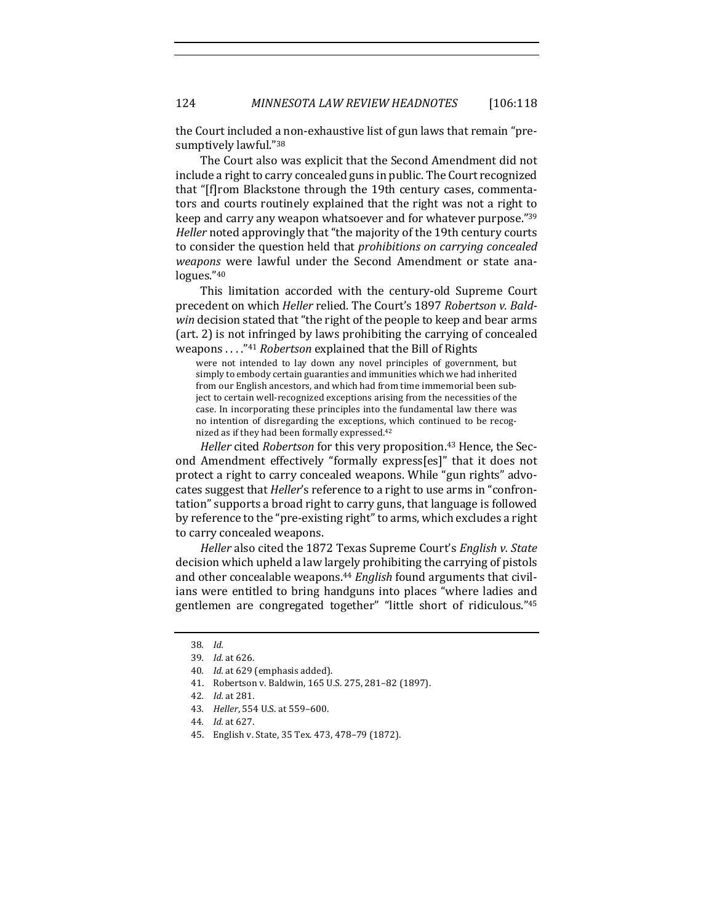the Court included a non-exhaustive list of gun laws that remain "presumptively lawful."38

The Court also was explicit that the Second Amendment did not include a right to carry concealed guns in public. The Court recognized that "[f]rom Blackstone through the 19th century cases, commentators and courts routinely explained that the right was not a right to keep and carry any weapon whatsoever and for whatever purpose."39 *Heller* noted approvingly that "the majority of the 19th century courts to consider the question held that *prohibitions* on carrying concealed *weapons* were lawful under the Second Amendment or state analogues."40

This limitation accorded with the century-old Supreme Court precedent on which *Heller* relied. The Court's 1897 Robertson v. Bald*win* decision stated that "the right of the people to keep and bear arms  $(art. 2)$  is not infringed by laws prohibiting the carrying of concealed weapons . . . . "<sup>41</sup> *Robertson* explained that the Bill of Rights

were not intended to lay down any novel principles of government, but simply to embody certain guaranties and immunities which we had inherited from our English ancestors, and which had from time immemorial been subject to certain well-recognized exceptions arising from the necessities of the case. In incorporating these principles into the fundamental law there was no intention of disregarding the exceptions, which continued to be recognized as if they had been formally expressed.<sup>42</sup>

*Heller* cited *Robertson* for this very proposition.<sup>43</sup> Hence, the Second Amendment effectively "formally express[es]" that it does not protect a right to carry concealed weapons. While "gun rights" advocates suggest that *Heller's* reference to a right to use arms in "confrontation" supports a broad right to carry guns, that language is followed by reference to the "pre-existing right" to arms, which excludes a right to carry concealed weapons.

*Heller* also cited the 1872 Texas Supreme Court's *English v. State* decision which upheld a law largely prohibiting the carrying of pistols and other concealable weapons.<sup>44</sup> *English* found arguments that civilians were entitled to bring handguns into places "where ladies and gentlemen are congregated together" "little short of ridiculous."<sup>45</sup>

<sup>38</sup>*. Id.*

<sup>39</sup>*. Id.* at 626.

<sup>40.</sup> *Id.* at 629 (emphasis added).

<sup>41.</sup> Robertson v. Baldwin, 165 U.S. 275, 281–82 (1897).

<sup>42</sup>*. Id.* at 281.

<sup>43.</sup> *Heller*, 554 U.S. at 559-600.

<sup>44</sup>*. Id.* at 627.

<sup>45.</sup> English v. State, 35 Tex. 473, 478-79 (1872).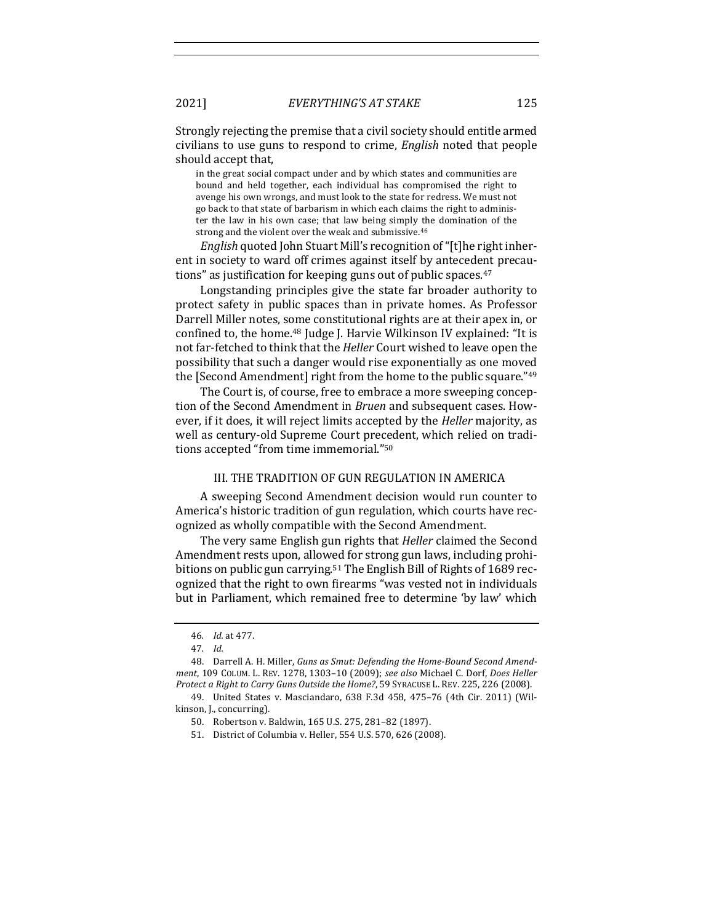Strongly rejecting the premise that a civil society should entitle armed civilians to use guns to respond to crime, *English* noted that people should accept that,

in the great social compact under and by which states and communities are bound and held together, each individual has compromised the right to avenge his own wrongs, and must look to the state for redress. We must not go back to that state of barbarism in which each claims the right to administer the law in his own case; that law being simply the domination of the strong and the violent over the weak and submissive.<sup>46</sup>

*English* quoted John Stuart Mill's recognition of "[t]he right inherent in society to ward off crimes against itself by antecedent precautions" as justification for keeping guns out of public spaces.<sup>47</sup>

Longstanding principles give the state far broader authority to protect safety in public spaces than in private homes. As Professor Darrell Miller notes, some constitutional rights are at their apex in, or confined to, the home.<sup>48</sup> Judge J. Harvie Wilkinson IV explained: "It is not far-fetched to think that the *Heller* Court wished to leave open the possibility that such a danger would rise exponentially as one moved the  $[Second$  Amendment $]$  right from the home to the public square." $49$ 

The Court is, of course, free to embrace a more sweeping conception of the Second Amendment in *Bruen* and subsequent cases. However, if it does, it will reject limits accepted by the *Heller* majority, as well as century-old Supreme Court precedent, which relied on traditions accepted "from time immemorial."<sup>50</sup>

# III. THE TRADITION OF GUN REGULATION IN AMERICA

A sweeping Second Amendment decision would run counter to America's historic tradition of gun regulation, which courts have recognized as wholly compatible with the Second Amendment.

The very same English gun rights that *Heller* claimed the Second Amendment rests upon, allowed for strong gun laws, including prohibitions on public gun carrying.<sup>51</sup> The English Bill of Rights of 1689 recognized that the right to own firearms "was vested not in individuals but in Parliament, which remained free to determine 'by law' which

<sup>46</sup>*. Id.* at 477.

<sup>47</sup>*. Id.*

<sup>48.</sup> Darrell A. H. Miller, Guns as Smut: Defending the Home-Bound Second Amend*ment*, 109 COLUM. L. REV. 1278, 1303-10 (2009); see also Michael C. Dorf, Does Heller *Protect a Right to Carry Guns Outside the Home?*, 59 SYRACUSE L. REV. 225, 226 (2008).

<sup>49.</sup> United States v. Masciandaro, 638 F.3d 458, 475-76 (4th Cir. 2011) (Wilkinson, J., concurring).

<sup>50.</sup> Robertson v. Baldwin, 165 U.S. 275, 281-82 (1897).

<sup>51.</sup> District of Columbia v. Heller, 554 U.S. 570, 626 (2008).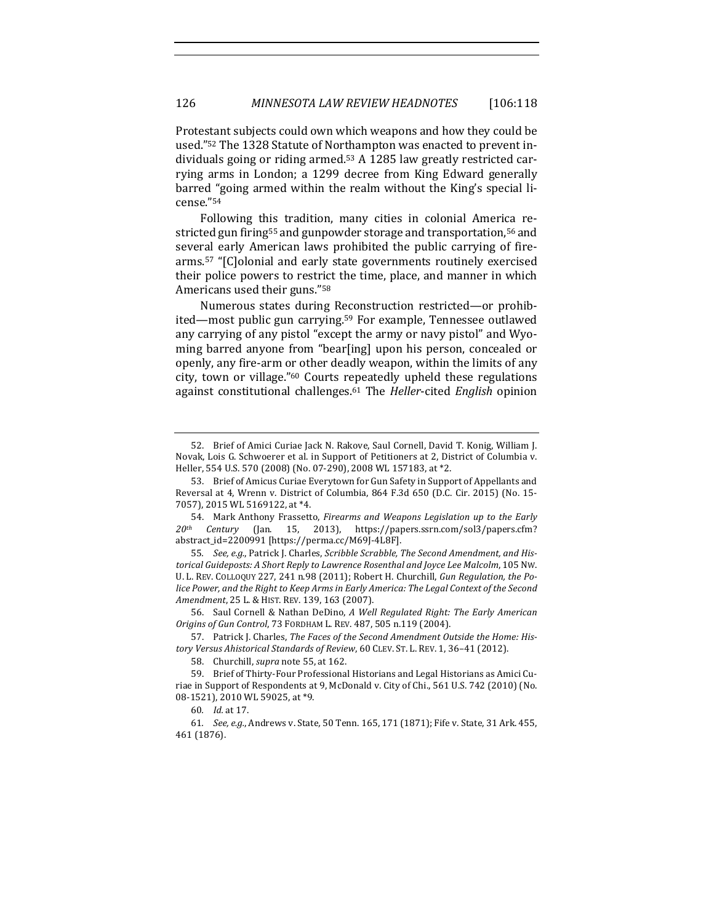Protestant subjects could own which weapons and how they could be used."<sup>52</sup> The 1328 Statute of Northampton was enacted to prevent individuals going or riding armed. $53$  A 1285 law greatly restricted carrying arms in London; a 1299 decree from King Edward generally barred "going armed within the realm without the King's special license."54

Following this tradition, many cities in colonial America restricted gun firing<sup>55</sup> and gunpowder storage and transportation,<sup>56</sup> and several early American laws prohibited the public carrying of firearms.<sup>57</sup> "[C]olonial and early state governments routinely exercised their police powers to restrict the time, place, and manner in which Americans used their guns."<sup>58</sup>

Numerous states during Reconstruction restricted—or prohibited—most public gun carrying.<sup>59</sup> For example, Tennessee outlawed any carrying of any pistol "except the army or navy pistol" and Wyoming barred anyone from "bear[ing] upon his person, concealed or openly, any fire-arm or other deadly weapon, within the limits of any city, town or village."<sup>60</sup> Courts repeatedly upheld these regulations against constitutional challenges.<sup>61</sup> The *Heller*-cited *English* opinion

<sup>52.</sup> Brief of Amici Curiae Jack N. Rakove, Saul Cornell, David T. Konig, William J. Novak, Lois G. Schwoerer et al. in Support of Petitioners at 2, District of Columbia v. Heller, 554 U.S. 570 (2008) (No. 07-290), 2008 WL 157183, at \*2.

<sup>53.</sup> Brief of Amicus Curiae Everytown for Gun Safety in Support of Appellants and Reversal at 4, Wrenn v. District of Columbia, 864 F.3d 650 (D.C. Cir. 2015) (No. 15-7057), 2015 WL 5169122, at \*4.

<sup>54.</sup> Mark Anthony Frassetto, *Firearms and Weapons Legislation up to the Early* 20<sup>th</sup> Century (Jan. 15. 2013). https://papers.ssrn.com/sol3/papers.cfm? *20th Century* (Jan. 15, 2013), https://papers.ssrn.com/sol3/papers.cfm? abstract\_id=2200991 [https://perma.cc/M69J-4L8F].

<sup>55.</sup> See, e.g., Patrick J. Charles, *Scribble Scrabble, The Second Amendment, and His*torical Guideposts: A Short Reply to Lawrence Rosenthal and Joyce Lee Malcolm, 105 Nw. U. L. REV. COLLOQUY 227, 241 n.98 (2011); Robert H. Churchill, Gun Regulation, the Police Power, and the Right to Keep Arms in Early America: The Legal Context of the Second *Amendment*, 25 L. & HIST. REV. 139, 163 (2007).

<sup>56.</sup> Saul Cornell & Nathan DeDino, *A Well Regulated Right: The Early American Origins of Gun Control*, 73 FORDHAM L. REV. 487, 505 n.119 (2004).

<sup>57.</sup> Patrick J. Charles, *The Faces of the Second Amendment Outside the Home: His*tory Versus Ahistorical Standards of Review, 60 CLEV. ST. L. REV. 1, 36-41 (2012).

<sup>58.</sup> Churchill, *supra* note 55, at 162.

<sup>59.</sup> Brief of Thirty-Four Professional Historians and Legal Historians as Amici Curiae in Support of Respondents at 9, McDonald v. City of Chi., 561 U.S. 742 (2010) (No. 08-1521), 2010 WL 59025, at \*9.

<sup>60</sup>*. Id.* at 17.

<sup>61.</sup> *See, e.g.*, Andrews v. State, 50 Tenn. 165, 171 (1871); Fife v. State, 31 Ark. 455, 461 (1876).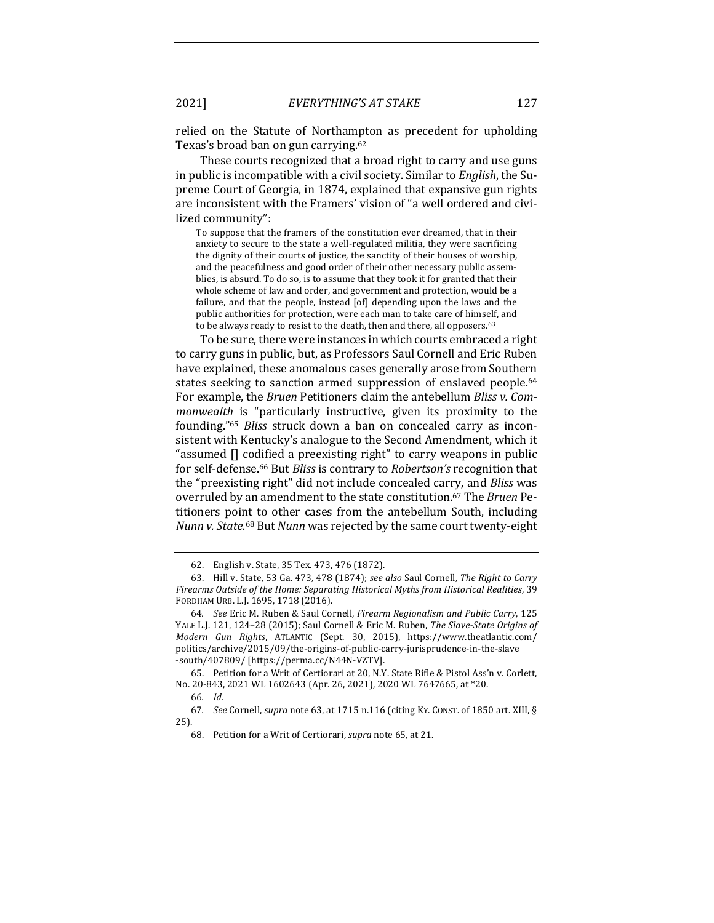relied on the Statute of Northampton as precedent for upholding Texas's broad ban on gun carrying.<sup>62</sup>

These courts recognized that a broad right to carry and use guns in public is incompatible with a civil society. Similar to *English*, the Supreme Court of Georgia, in 1874, explained that expansive gun rights are inconsistent with the Framers' vision of "a well ordered and civilized community":

To suppose that the framers of the constitution ever dreamed, that in their anxiety to secure to the state a well-regulated militia, they were sacrificing the dignity of their courts of justice, the sanctity of their houses of worship, and the peacefulness and good order of their other necessary public assemblies, is absurd. To do so, is to assume that they took it for granted that their whole scheme of law and order, and government and protection, would be a failure, and that the people, instead [of] depending upon the laws and the public authorities for protection, were each man to take care of himself, and to be always ready to resist to the death, then and there, all opposers.<sup>63</sup>

To be sure, there were instances in which courts embraced a right to carry guns in public, but, as Professors Saul Cornell and Eric Ruben have explained, these anomalous cases generally arose from Southern states seeking to sanction armed suppression of enslaved people.<sup>64</sup> For example, the *Bruen* Petitioners claim the antebellum *Bliss v. Commonwealth* is "particularly instructive, given its proximity to the founding."<sup>65</sup> *Bliss* struck down a ban on concealed carry as inconsistent with Kentucky's analogue to the Second Amendment, which it "assumed  $\prod$  codified a preexisting right" to carry weapons in public for self-defense.<sup>66</sup> But *Bliss* is contrary to *Robertson's* recognition that the "preexisting right" did not include concealed carry, and *Bliss* was overruled by an amendment to the state constitution.<sup>67</sup> The *Bruen* Petitioners point to other cases from the antebellum South, including Nunn v. State.<sup>68</sup> But Nunn was rejected by the same court twenty-eight

<sup>62.</sup> English v. State, 35 Tex. 473, 476 (1872).

<sup>63.</sup> Hill v. State, 53 Ga. 473, 478 (1874); see also Saul Cornell, *The Right to Carry* Firearms Outside of the Home: Separating Historical Myths from Historical Realities, 39 FORDHAM URB. L.J. 1695, 1718 (2016).

<sup>64</sup>*. See* Eric M. Ruben & Saul Cornell, *Firearm Regionalism and Public Carry*, 125 YALE L.J. 121, 124-28 (2015); Saul Cornell & Eric M. Ruben, *The Slave-State Origins of Modern Gun Rights*, ATLANTIC (Sept. 30, 2015), https://www.theatlantic.com/ politics/archive/2015/09/the-origins-of-public-carry-jurisprudence-in-the-slave -south/407809/ [https://perma.cc/N44N-VZTV].

<sup>65.</sup> Petition for a Writ of Certiorari at 20, N.Y. State Rifle & Pistol Ass'n v. Corlett, No. 20-843, 2021 WL 1602643 (Apr. 26, 2021), 2020 WL 7647665, at \*20.

<sup>66</sup>*. Id.*

<sup>67.</sup> *See* Cornell, *supra* note 63, at 1715 n.116 (citing KY. CONST. of 1850 art. XIII, § 25).

<sup>68.</sup> Petition for a Writ of Certiorari, *supra* note 65, at 21.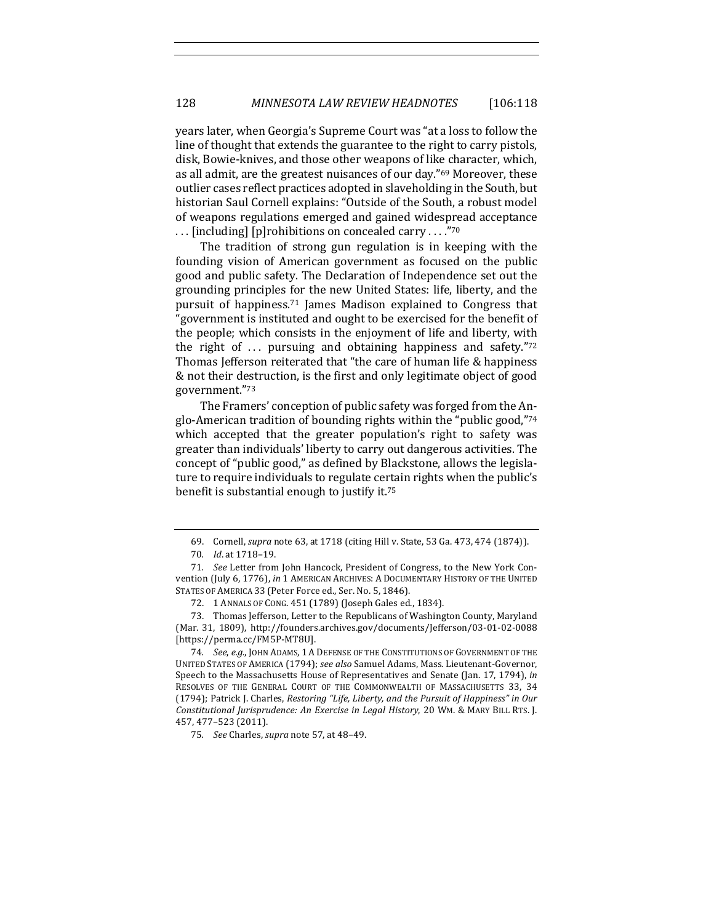years later, when Georgia's Supreme Court was "at a loss to follow the line of thought that extends the guarantee to the right to carry pistols, disk, Bowie-knives, and those other weapons of like character, which, as all admit, are the greatest nuisances of our day."<sup>69</sup> Moreover, these outlier cases reflect practices adopted in slaveholding in the South, but historian Saul Cornell explains: "Outside of the South, a robust model of weapons regulations emerged and gained widespread acceptance ... [including] [p]rohibitions on concealed carry ...."70

The tradition of strong gun regulation is in keeping with the founding vision of American government as focused on the public good and public safety. The Declaration of Independence set out the grounding principles for the new United States: life, liberty, and the pursuit of happiness.<sup>71</sup> James Madison explained to Congress that "government is instituted and ought to be exercised for the benefit of the people; which consists in the enjoyment of life and liberty, with the right of  $\ldots$  pursuing and obtaining happiness and safety."<sup>72</sup> Thomas Jefferson reiterated that "the care of human life & happiness & not their destruction, is the first and only legitimate object of good government."73

The Framers' conception of public safety was forged from the Anglo-American tradition of bounding rights within the "public good," $74$ which accepted that the greater population's right to safety was greater than individuals' liberty to carry out dangerous activities. The concept of "public good," as defined by Blackstone, allows the legislature to require individuals to regulate certain rights when the public's benefit is substantial enough to justify it.<sup>75</sup>

<sup>69.</sup> Cornell, *supra* note 63, at 1718 (citing Hill v. State, 53 Ga. 473, 474 (1874)).

<sup>70.</sup> *Id.* at 1718-19.

<sup>71.</sup> *See* Letter from John Hancock, President of Congress, to the New York Convention (July 6, 1776), in 1 AMERICAN ARCHIVES: A DOCUMENTARY HISTORY OF THE UNITED STATES OF AMERICA 33 (Peter Force ed., Ser. No. 5, 1846).

<sup>72. 1</sup> ANNALS OF CONG. 451 (1789) (Joseph Gales ed., 1834).

<sup>73.</sup> Thomas Jefferson, Letter to the Republicans of Washington County, Maryland (Mar. 31, 1809), http://founders.archives.gov/documents/Jefferson/03-01-02-0088 [https://perma.cc/FM5P-MT8U].

<sup>74.</sup> *See, e.g.*, JOHN ADAMS, 1 A DEFENSE OF THE CONSTITUTIONS OF GOVERNMENT OF THE UNITED STATES OF AMERICA (1794); see also Samuel Adams, Mass. Lieutenant-Governor, Speech to the Massachusetts House of Representatives and Senate (Jan. 17, 1794), *in* RESOLVES OF THE GENERAL COURT OF THE COMMONWEALTH OF MASSACHUSETTS 33, 34 (1794); Patrick J. Charles, *Restoring "Life, Liberty, and the Pursuit of Happiness" in Our Constitutional Jurisprudence: An Exercise in Legal History*, 20 WM. & MARY BILL RTS. J. 457, 477–523 (2011).

<sup>75</sup>*. See* Charles, *supra* note 57, at 48–49.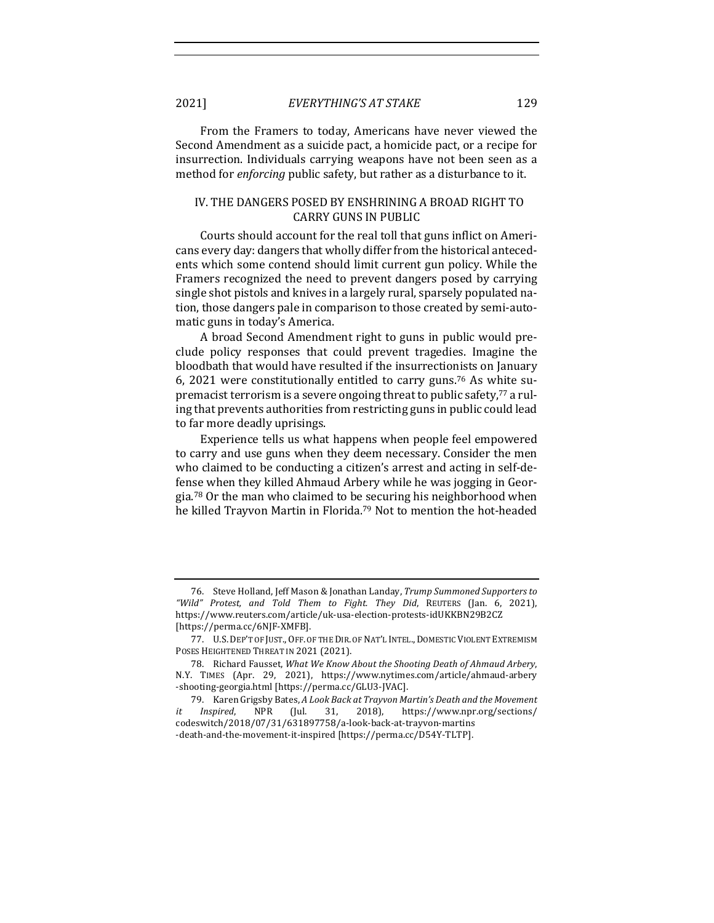2021] *EVERYTHING'S AT STAKE* 129

From the Framers to today, Americans have never viewed the Second Amendment as a suicide pact, a homicide pact, or a recipe for insurrection. Individuals carrying weapons have not been seen as a method for *enforcing* public safety, but rather as a disturbance to it.

# IV. THE DANGERS POSED BY ENSHRINING A BROAD RIGHT TO **CARRY GUNS IN PUBLIC**

Courts should account for the real toll that guns inflict on Americans every day: dangers that wholly differ from the historical antecedents which some contend should limit current gun policy. While the Framers recognized the need to prevent dangers posed by carrying single shot pistols and knives in a largely rural, sparsely populated nation, those dangers pale in comparison to those created by semi-automatic guns in today's America.

A broad Second Amendment right to guns in public would preclude policy responses that could prevent tragedies. Imagine the bloodbath that would have resulted if the insurrectionists on January 6, 2021 were constitutionally entitled to carry guns.<sup>76</sup> As white supremacist terrorism is a severe ongoing threat to public safety, $77$  a ruling that prevents authorities from restricting guns in public could lead to far more deadly uprisings.

Experience tells us what happens when people feel empowered to carry and use guns when they deem necessary. Consider the men who claimed to be conducting a citizen's arrest and acting in self-defense when they killed Ahmaud Arbery while he was jogging in Georgia.<sup>78</sup> Or the man who claimed to be securing his neighborhood when he killed Trayvon Martin in Florida.<sup>79</sup> Not to mention the hot-headed

<sup>76.</sup> Steve Holland, Jeff Mason & Jonathan Landay, *Trump Summoned Supporters to "Wild" Protest, and Told Them to Fight. They Did*, REUTERS (Jan. 6, 2021), https://www.reuters.com/article/uk-usa-election-protests-idUKKBN29B2CZ [https://perma.cc/6NJF-XMFB].

<sup>77.</sup> U.S. DEP'T OF JUST., OFF. OF THE DIR. OF NAT'L INTEL., DOMESTIC VIOLENT EXTREMISM POSES HEIGHTENED THREAT IN 2021 (2021).

<sup>78.</sup> Richard Fausset, *What We Know About the Shooting Death of Ahmaud Arbery*, N.Y. TIMES (Apr. 29, 2021), https://www.nytimes.com/article/ahmaud-arbery -shooting-georgia.html [https://perma.cc/GLU3-JVAC].

<sup>79.</sup> Karen Grigsby Bates, A Look Back at Trayvon Martin's Death and the Movement *it* Inspired, NPR (Jul. 31, 2018), https://www.npr.org/sections/ codeswitch/2018/07/31/631897758/a-look-back-at-trayvon-martins -death-and-the-movement-it-inspired [https://perma.cc/D54Y-TLTP].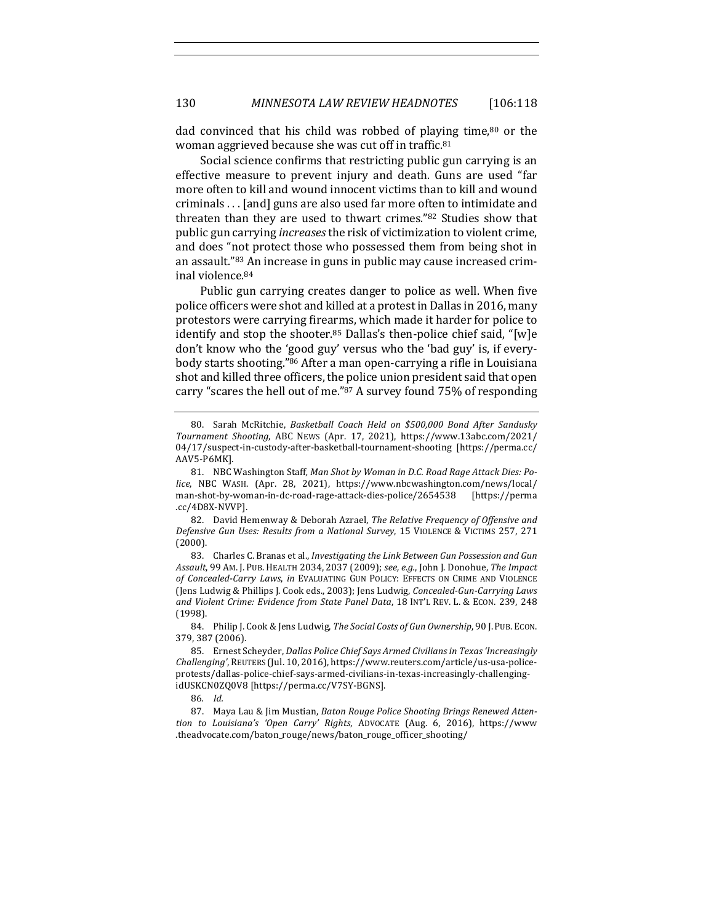dad convinced that his child was robbed of playing time, $80$  or the woman aggrieved because she was cut off in traffic.<sup>81</sup>

Social science confirms that restricting public gun carrying is an effective measure to prevent injury and death. Guns are used "far more often to kill and wound innocent victims than to kill and wound criminals . . . [and] guns are also used far more often to intimidate and threaten than they are used to thwart crimes."82 Studies show that public gun carrying *increases* the risk of victimization to violent crime, and does "not protect those who possessed them from being shot in an assault."83 An increase in guns in public may cause increased criminal violence.<sup>84</sup>

Public gun carrying creates danger to police as well. When five police officers were shot and killed at a protest in Dallas in 2016, many protestors were carrying firearms, which made it harder for police to identify and stop the shooter.<sup>85</sup> Dallas's then-police chief said, "[w]e don't know who the 'good guy' versus who the 'bad guy' is, if everybody starts shooting."<sup>86</sup> After a man open-carrying a rifle in Louisiana shot and killed three officers, the police union president said that open carry "scares the hell out of me."87 A survey found 75% of responding

82. David Hemenway & Deborah Azrael, *The Relative Frequency of Offensive and* Defensive Gun Uses: Results from a National Survey, 15 VIOLENCE & VICTIMS 257, 271 (2000).

83. Charles C. Branas et al., *Investigating the Link Between Gun Possession and Gun* Assault, 99 AM. J. PUB. HEALTH 2034, 2037 (2009); see, e.g., John J. Donohue, The Impact of Concealed-Carry Laws, in EVALUATING GUN POLICY: EFFECTS ON CRIME AND VIOLENCE (Jens Ludwig & Phillips J. Cook eds., 2003); Jens Ludwig, *Concealed-Gun-Carrying Laws* and Violent Crime: Evidence from State Panel Data, 18 INT'L REV. L. & ECON. 239, 248 (1998).

84. Philip J. Cook & Jens Ludwig, *The Social Costs of Gun Ownership*, 90 J. PUB. ECON. 379, 387 (2006).

86*. Id.*

87. Maya Lau & Jim Mustian, *Baton Rouge Police Shooting Brings Renewed Attention to Louisiana's 'Open Carry' Rights*, ADVOCATE (Aug. 6, 2016), https://www .theadvocate.com/baton\_rouge/news/baton\_rouge\_officer\_shooting/

<sup>80.</sup> Sarah McRitchie, *Basketball Coach Held on \$500,000 Bond After Sandusky Tournament Shooting*, ABC NEWS (Apr. 17, 2021), https://www.13abc.com/2021/ 04/17/suspect-in-custody-after-basketball-tournament-shooting [https://perma.cc/ AAV5-P6MK].

<sup>81.</sup> NBC Washington Staff, Man Shot by Woman in D.C. Road Rage Attack Dies: Po*lice*, NBC WASH. (Apr. 28, 2021), https://www.nbcwashington.com/news/local/ man-shot-by-woman-in-dc-road-rage-attack-dies-police/2654538 [https://perma .cc/4D8X-NVVP].

<sup>85.</sup> Ernest Scheyder, *Dallas Police Chief Says Armed Civilians in Texas 'Increasingly Challenging'*, REUTERS (Jul. 10, 2016), https://www.reuters.com/article/us-usa-policeprotests/dallas-police-chief-says-armed-civilians-in-texas-increasingly-challengingidUSKCN0ZQ0V8 [https://perma.cc/V7SY-BGNS].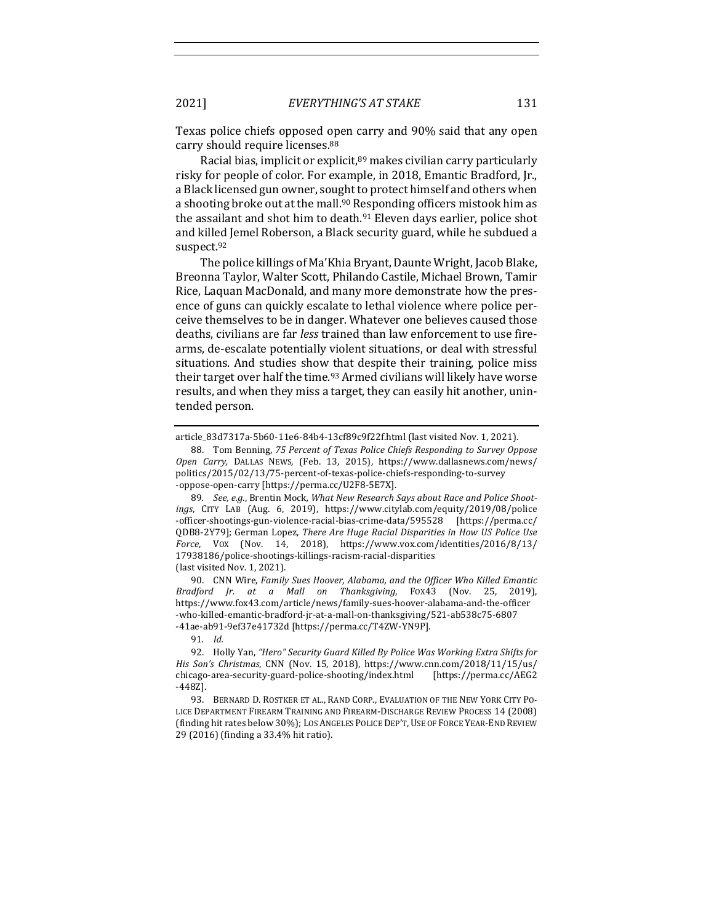Texas police chiefs opposed open carry and 90% said that any open carry should require licenses.<sup>88</sup>

Racial bias, implicit or explicit, $89$  makes civilian carry particularly risky for people of color. For example, in 2018, Emantic Bradford, Ir., a Black licensed gun owner, sought to protect himself and others when a shooting broke out at the mall.<sup>90</sup> Responding officers mistook him as the assailant and shot him to death.<sup>91</sup> Eleven days earlier, police shot and killed Jemel Roberson, a Black security guard, while he subdued a suspect.92

The police killings of Ma'Khia Bryant, Daunte Wright, Jacob Blake, Breonna Taylor, Walter Scott, Philando Castile, Michael Brown, Tamir Rice, Laquan MacDonald, and many more demonstrate how the presence of guns can quickly escalate to lethal violence where police perceive themselves to be in danger. Whatever one believes caused those deaths, civilians are far *less* trained than law enforcement to use firearms, de-escalate potentially violent situations, or deal with stressful situations. And studies show that despite their training, police miss their target over half the time.<sup>93</sup> Armed civilians will likely have worse results, and when they miss a target, they can easily hit another, unintended person.

90. CNN Wire, *Family Sues Hoover, Alabama, and the Officer Who Killed Emantic Bradford Jr. at a Mall on Thanksgiving*, FOX43 (Nov. 25, 2019), https://www.fox43.com/article/news/family-sues-hoover-alabama-and-the-officer -who-killed-emantic-bradford-jr-at-a-mall-on-thanksgiving/521-ab538c75-6807 -41ae-ab91-9ef37e41732d [https://perma.cc/T4ZW-YN9P].

91*. Id.*

article\_83d7317a-5b60-11e6-84b4-13cf89c9f22f.html (last visited Nov. 1, 2021).

<sup>88.</sup> Tom Benning, 75 Percent of Texas Police Chiefs Responding to Survey Oppose *Open Carry,*  DALLAS NEWS, (Feb. 13, 2015), https://www.dallasnews.com/news/ politics/2015/02/13/75-percent-of-texas-police-chiefs-responding-to-survey -oppose-open-carry [https://perma.cc/U2F8-5E7X].

<sup>89.</sup> See, e.g., Brentin Mock, What New Research Says about Race and Police Shoot*ings*, CITY LAB (Aug. 6, 2019), https://www.citylab.com/equity/2019/08/police -officer-shootings-gun-violence-racial-bias-crime-data/595528 [https://perma.cc/ QDB8-2Y79]; German Lopez, *There Are Huge Racial Disparities in How US Police Use Force*, VOX (Nov. 14, 2018), https://www.vox.com/identities/2016/8/13/ 17938186/police-shootings-killings-racism-racial-disparities (last visited Nov. 1, 2021).

<sup>92.</sup> Holly Yan, "Hero" Security Guard Killed By Police Was Working Extra Shifts for *His Son's Christmas, CNN (Nov. 15, 2018), https://www.cnn.com/2018/11/15/us/* chicago-area-security-guard-police-shooting/index.html [https://perma.cc/AEG2 -448Z].

<sup>93.</sup> BERNARD D. ROSTKER ET AL., RAND CORP., EVALUATION OF THE NEW YORK CITY PO-LICE DEPARTMENT FIREARM TRAINING AND FIREARM-DISCHARGE REVIEW PROCESS 14 (2008) (finding hit rates below 30%); LOS ANGELES POLICE DEP'T, USE OF FORCE YEAR-END REVIEW 29 (2016) (finding a 33.4% hit ratio).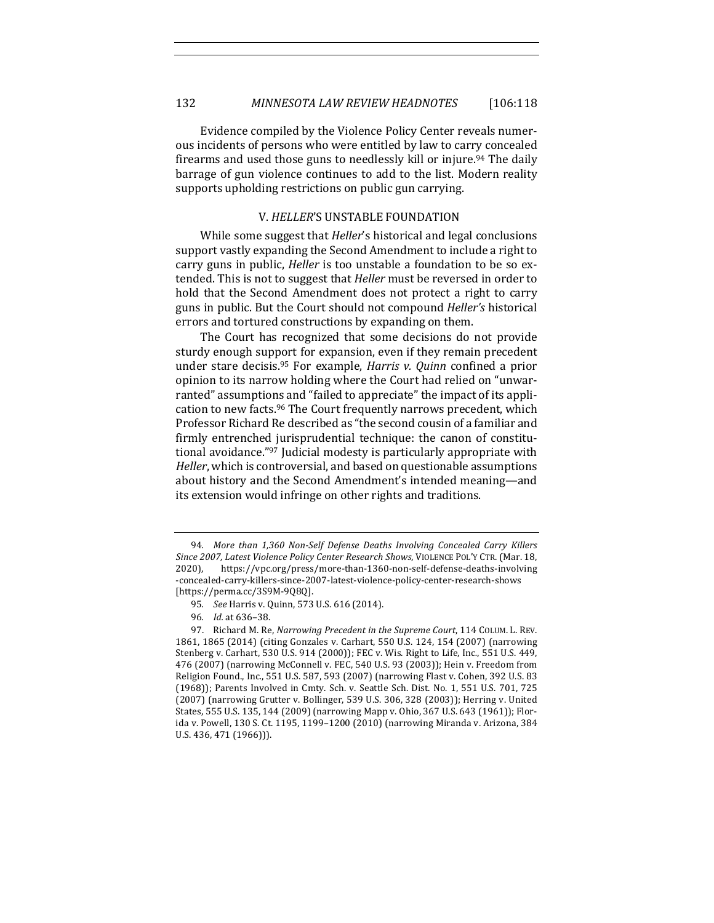Evidence compiled by the Violence Policy Center reveals numerous incidents of persons who were entitled by law to carry concealed firearms and used those guns to needlessly kill or injure.<sup>94</sup> The daily barrage of gun violence continues to add to the list. Modern reality supports upholding restrictions on public gun carrying.

# **V. HELLER'S UNSTABLE FOUNDATION**

While some suggest that *Heller's* historical and legal conclusions support vastly expanding the Second Amendment to include a right to carry guns in public, *Heller* is too unstable a foundation to be so extended. This is not to suggest that *Heller* must be reversed in order to hold that the Second Amendment does not protect a right to carry guns in public. But the Court should not compound *Heller's* historical errors and tortured constructions by expanding on them.

The Court has recognized that some decisions do not provide sturdy enough support for expansion, even if they remain precedent under stare decisis.<sup>95</sup> For example, *Harris v. Quinn* confined a prior opinion to its narrow holding where the Court had relied on "unwarranted" assumptions and "failed to appreciate" the impact of its application to new facts.<sup>96</sup> The Court frequently narrows precedent, which Professor Richard Re described as "the second cousin of a familiar and firmly entrenched jurisprudential technique: the canon of constitutional avoidance."<sup>97</sup> Judicial modesty is particularly appropriate with *Heller*, which is controversial, and based on questionable assumptions about history and the Second Amendment's intended meaning-and its extension would infringe on other rights and traditions.

<sup>94.</sup> More than 1,360 Non-Self Defense Deaths Involving Concealed Carry Killers Since 2007, Latest Violence Policy Center Research Shows, VIOLENCE POL'Y CTR. (Mar. 18, 2020), https://vpc.org/press/more-than-1360-non-self-defense-deaths-involving -concealed-carry-killers-since-2007-latest-violence-policy-center-research-shows [https://perma.cc/3S9M-9Q8Q].

<sup>95.</sup> *See* Harris v. Quinn, 573 U.S. 616 (2014).

<sup>96</sup>*. Id.* at 636–38.

<sup>97.</sup> Richard M. Re, *Narrowing Precedent in the Supreme Court*, 114 COLUM. L. REV. 1861, 1865 (2014) (citing Gonzales v. Carhart, 550 U.S. 124, 154 (2007) (narrowing Stenberg v. Carhart, 530 U.S. 914 (2000)); FEC v. Wis. Right to Life, Inc., 551 U.S. 449, 476 (2007) (narrowing McConnell v. FEC, 540 U.S. 93 (2003)); Hein v. Freedom from Religion Found., Inc., 551 U.S. 587, 593 (2007) (narrowing Flast v. Cohen, 392 U.S. 83 (1968)); Parents Involved in Cmty. Sch. v. Seattle Sch. Dist. No. 1, 551 U.S. 701, 725 (2007) (narrowing Grutter v. Bollinger, 539 U.S. 306, 328 (2003)); Herring v. United States, 555 U.S. 135, 144 (2009) (narrowing Mapp v. Ohio, 367 U.S. 643 (1961)); Florida v. Powell, 130 S. Ct. 1195, 1199-1200 (2010) (narrowing Miranda v. Arizona, 384 U.S. 436, 471 (1966))).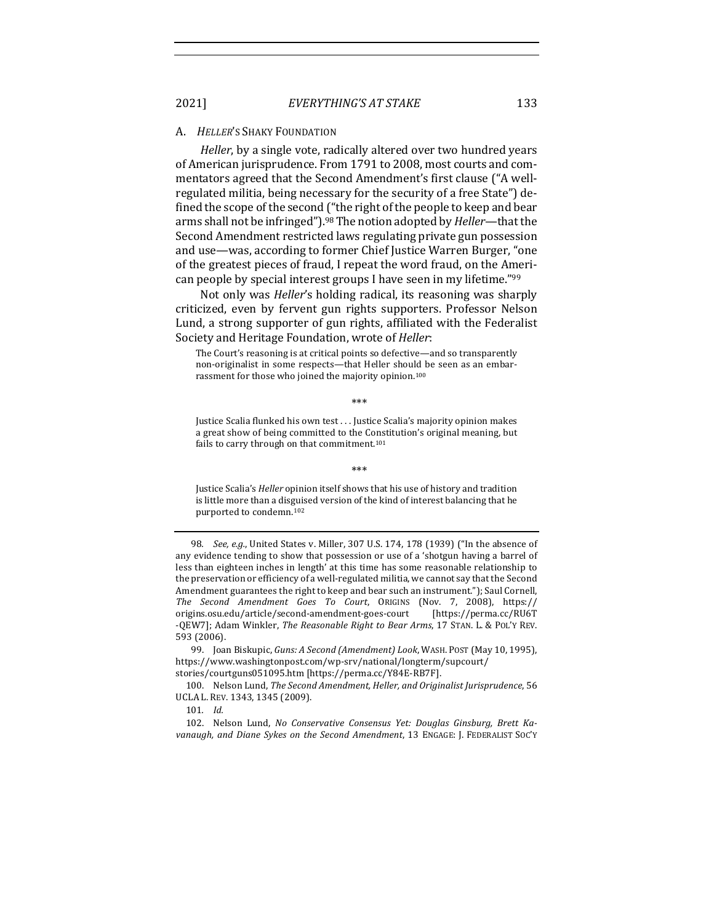#### A. *HELLER'S* SHAKY FOUNDATION

*Heller*, by a single vote, radically altered over two hundred years of American jurisprudence. From 1791 to 2008, most courts and commentators agreed that the Second Amendment's first clause ("A wellregulated militia, being necessary for the security of a free State") defined the scope of the second ("the right of the people to keep and bear arms shall not be infringed").<sup>98</sup> The notion adopted by *Heller*—that the Second Amendment restricted laws regulating private gun possession and use—was, according to former Chief Justice Warren Burger, "one of the greatest pieces of fraud, I repeat the word fraud, on the American people by special interest groups I have seen in my lifetime."<sup>99</sup>

Not only was *Heller's* holding radical, its reasoning was sharply criticized, even by fervent gun rights supporters. Professor Nelson Lund, a strong supporter of gun rights, affiliated with the Federalist Society and Heritage Foundation, wrote of *Heller*:

The Court's reasoning is at critical points so defective—and so transparently non-originalist in some respects—that Heller should be seen as an embarrassment for those who joined the majority opinion.<sup>100</sup>

 \*\*\* 

Justice Scalia flunked his own test . . . Justice Scalia's majority opinion makes a great show of being committed to the Constitution's original meaning, but fails to carry through on that commitment.<sup>101</sup>

 \*\*\* 

Justice Scalia's *Heller* opinion itself shows that his use of history and tradition is little more than a disguised version of the kind of interest balancing that he purported to condemn.<sup>102</sup>

98. *See, e.g.*, United States v. Miller, 307 U.S. 174, 178 (1939) ("In the absence of any evidence tending to show that possession or use of a 'shotgun having a barrel of less than eighteen inches in length' at this time has some reasonable relationship to the preservation or efficiency of a well-regulated militia, we cannot say that the Second Amendment guarantees the right to keep and bear such an instrument."); Saul Cornell, *The Second Amendment Goes To Court*, ORIGINS (Nov. 7, 2008), https:// origins.osu.edu/article/second-amendment-goes-court [https://perma.cc/RU6T -QEW7]; Adam Winkler, *The Reasonable Right to Bear Arms*, 17 STAN. L. & POL'Y REV. 593 (2006).

99. Joan Biskupic, *Guns: A Second (Amendment) Look*, WASH. POST (May 10, 1995), https://www.washingtonpost.com/wp-srv/national/longterm/supcourt/ stories/courtguns051095.htm [https://perma.cc/Y84E-RB7F].

100. Nelson Lund, The Second Amendment, Heller, and Originalist Jurisprudence, 56 UCLA L. REV. 1343, 1345 (2009).

101*. Id.*

102. Nelson Lund, *No Conservative Consensus Yet: Douglas Ginsburg, Brett Ka*vanaugh, and Diane Sykes on the Second Amendment, 13 ENGAGE: J. FEDERALIST SOC'Y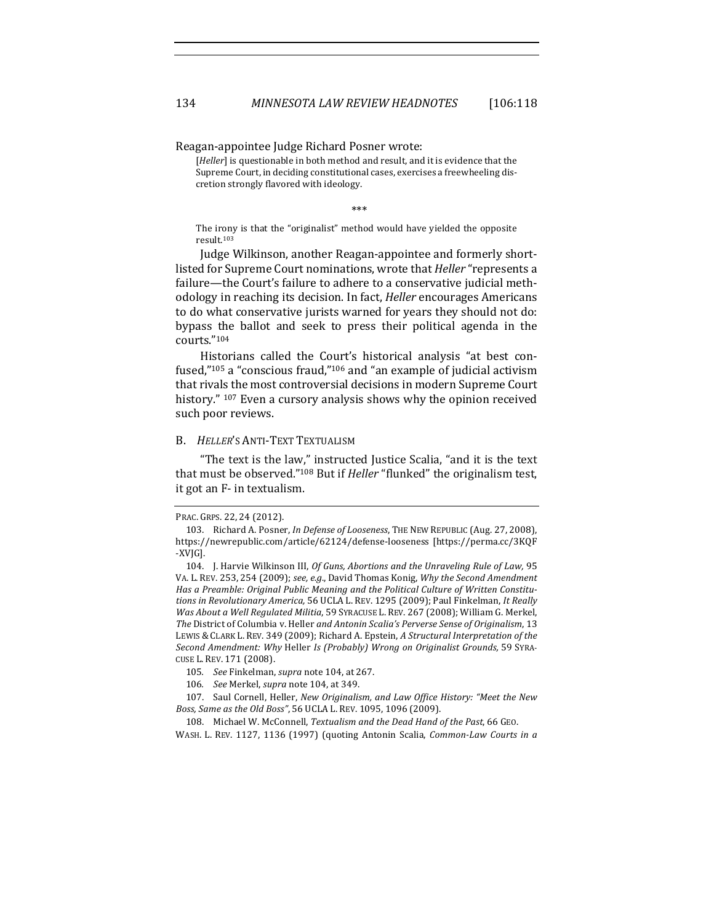Reagan-appointee Judge Richard Posner wrote:

[*Heller*] is questionable in both method and result, and it is evidence that the Supreme Court, in deciding constitutional cases, exercises a freewheeling discretion strongly flavored with ideology.

 \*\*\* 

The irony is that the "originalist" method would have yielded the opposite result.103

Judge Wilkinson, another Reagan-appointee and formerly shortlisted for Supreme Court nominations, wrote that *Heller* "represents a failure—the Court's failure to adhere to a conservative judicial methodology in reaching its decision. In fact, *Heller* encourages Americans to do what conservative jurists warned for years they should not do: bypass the ballot and seek to press their political agenda in the courts."104

Historians called the Court's historical analysis "at best confused," $105$  a "conscious fraud," $106$  and "an example of judicial activism that rivals the most controversial decisions in modern Supreme Court history." <sup>107</sup> Even a cursory analysis shows why the opinion received such poor reviews.

## **B.** *HELLER'S* ANTI-TEXT TEXTUALISM

"The text is the law," instructed Justice Scalia, "and it is the text that must be observed."<sup>108</sup> But if *Heller* "flunked" the originalism test, it got an F- in textualism.

PRAC. GRPS. 22, 24 (2012).

<sup>103.</sup> Richard A. Posner, *In Defense of Looseness*, THE NEW REPUBLIC (Aug. 27, 2008), https://newrepublic.com/article/62124/defense-looseness [https://perma.cc/3KQF -XVJG].

<sup>104.</sup> J. Harvie Wilkinson III, Of Guns, Abortions and the Unraveling Rule of Law, 95 VA. L. REV. 253, 254 (2009); see, e.g., David Thomas Konig, Why the Second Amendment Has a Preamble: Original Public Meaning and the Political Culture of Written Constitutions in Revolutionary America, 56 UCLA L. REV. 1295 (2009); Paul Finkelman, It Really *Was About a Well Regulated Militia*, 59 SYRACUSE L. REV. 267 (2008); William G. Merkel, *The* District of Columbia v. Heller and Antonin Scalia's Perverse Sense of Originalism, 13 LEWIS & CLARK L. REV. 349 (2009); Richard A. Epstein, A Structural Interpretation of the *Second Amendment: Why* Heller *Is (Probably) Wrong on Originalist Grounds,* 59 SYRA-CUSE L. REV. 171 (2008).

<sup>105.</sup> *See* Finkelman, *supra* note 104, at 267.

<sup>106</sup>*. See* Merkel, *supra* note 104, at 349.

<sup>107.</sup> Saul Cornell, Heller, *New Originalism, and Law Office History: "Meet the New* Boss, Same as the Old Boss", 56 UCLA L. REV. 1095, 1096 (2009).

<sup>108.</sup> Michael W. McConnell, *Textualism and the Dead Hand of the Past*, 66 GEO.

WASH. L. REV. 1127, 1136 (1997) (quoting Antonin Scalia, *Common-Law Courts in a*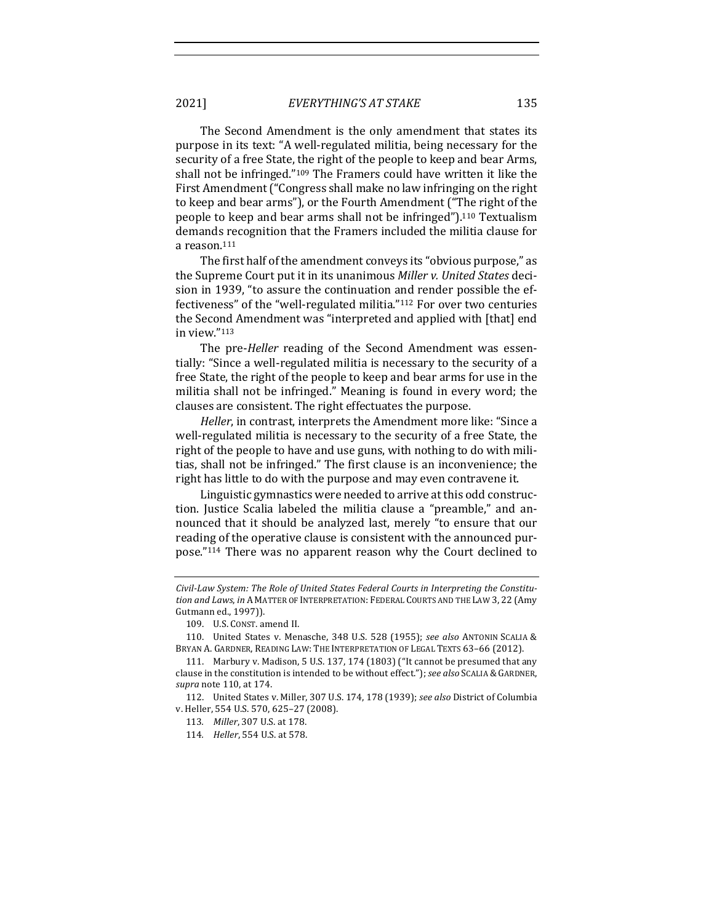The Second Amendment is the only amendment that states its purpose in its text: "A well-regulated militia, being necessary for the security of a free State, the right of the people to keep and bear Arms, shall not be infringed." $109$  The Framers could have written it like the First Amendment ("Congress shall make no law infringing on the right to keep and bear arms"), or the Fourth Amendment ("The right of the people to keep and bear arms shall not be infringed").<sup>110</sup> Textualism demands recognition that the Framers included the militia clause for a reason.<sup>111</sup>

The first half of the amendment conveys its "obvious purpose," as the Supreme Court put it in its unanimous *Miller v. United States* decision in 1939, "to assure the continuation and render possible the effectiveness" of the "well-regulated militia."<sup>112</sup> For over two centuries the Second Amendment was "interpreted and applied with [that] end in view."113

The pre-*Heller* reading of the Second Amendment was essentially: "Since a well-regulated militia is necessary to the security of a free State, the right of the people to keep and bear arms for use in the militia shall not be infringed." Meaning is found in every word; the clauses are consistent. The right effectuates the purpose.

*Heller*, in contrast, interprets the Amendment more like: "Since a well-regulated militia is necessary to the security of a free State, the right of the people to have and use guns, with nothing to do with militias, shall not be infringed." The first clause is an inconvenience; the right has little to do with the purpose and may even contravene it.

Linguistic gymnastics were needed to arrive at this odd construction. Justice Scalia labeled the militia clause a "preamble," and announced that it should be analyzed last, merely "to ensure that our reading of the operative clause is consistent with the announced purpose."114 There was no apparent reason why the Court declined to

Civil-Law System: The Role of United States Federal Courts in Interpreting the Constitution and Laws, in A MATTER OF INTERPRETATION: FEDERAL COURTS AND THE LAW 3, 22 (Amy Gutmann ed., 1997)).

<sup>109.</sup> U.S. CONST. amend II.

<sup>110.</sup> United States v. Menasche, 348 U.S. 528 (1955); see also ANTONIN SCALIA & BRYAN A. GARDNER, READING LAW: THE INTERPRETATION OF LEGAL TEXTS 63-66 (2012).

<sup>111.</sup> Marbury v. Madison, 5 U.S. 137, 174 (1803) ("It cannot be presumed that any clause in the constitution is intended to be without effect."); see also SCALIA & GARDNER, *supra* note 110, at 174.

<sup>112.</sup> United States v. Miller, 307 U.S. 174, 178 (1939); see also District of Columbia v. Heller, 554 U.S. 570, 625-27 (2008).

<sup>113.</sup> *Miller*, 307 U.S. at 178.

<sup>114.</sup> *Heller*, 554 U.S. at 578.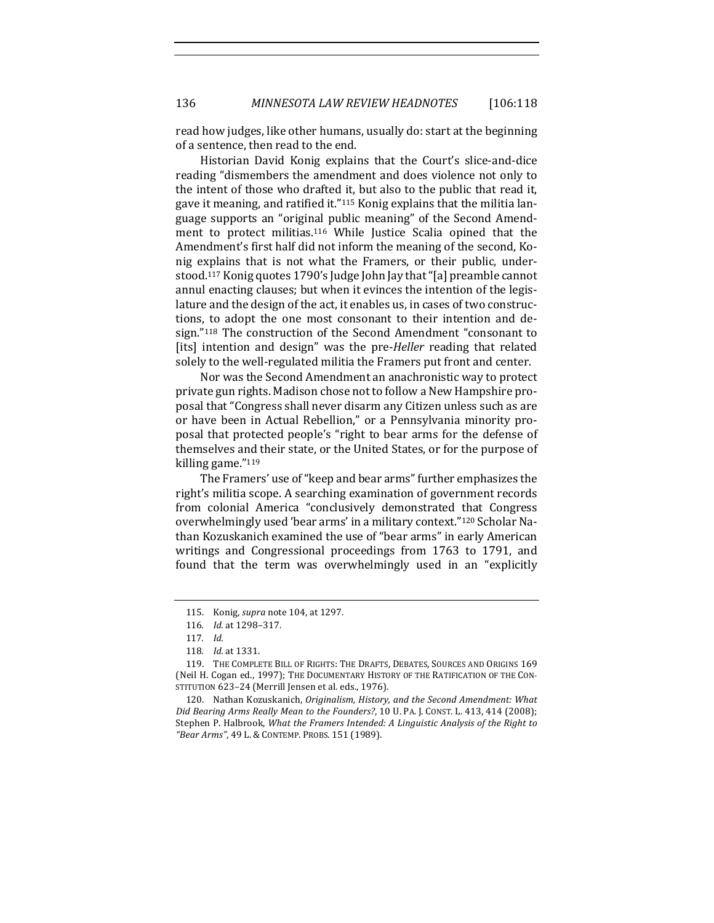read how judges, like other humans, usually do: start at the beginning of a sentence, then read to the end.

Historian David Konig explains that the Court's slice-and-dice reading "dismembers the amendment and does violence not only to the intent of those who drafted it, but also to the public that read it, gave it meaning, and ratified it."<sup>115</sup> Konig explains that the militia language supports an "original public meaning" of the Second Amendment to protect militias.<sup>116</sup> While Justice Scalia opined that the Amendment's first half did not inform the meaning of the second, Konig explains that is not what the Framers, or their public, understood.<sup>117</sup> Konig quotes 1790's Judge John Jay that "[a] preamble cannot annul enacting clauses; but when it evinces the intention of the legislature and the design of the act, it enables us, in cases of two constructions, to adopt the one most consonant to their intention and design."<sup>118</sup> The construction of the Second Amendment "consonant to [its] intention and design" was the pre-*Heller* reading that related solely to the well-regulated militia the Framers put front and center.

Nor was the Second Amendment an anachronistic way to protect private gun rights. Madison chose not to follow a New Hampshire proposal that "Congress shall never disarm any Citizen unless such as are or have been in Actual Rebellion," or a Pennsylvania minority proposal that protected people's "right to bear arms for the defense of themselves and their state, or the United States, or for the purpose of killing game. $"^{119}$ 

The Framers' use of "keep and bear arms" further emphasizes the right's militia scope. A searching examination of government records from colonial America "conclusively demonstrated that Congress overwhelmingly used 'bear arms' in a military context."<sup>120</sup> Scholar Nathan Kozuskanich examined the use of "bear arms" in early American writings and Congressional proceedings from 1763 to 1791, and found that the term was overwhelmingly used in an "explicitly

<sup>115.</sup> Konig, *supra* note 104, at 1297.

<sup>116</sup>*. Id.* at 1298-317.

<sup>117</sup>*. Id.*

<sup>118.</sup> *Id.* at 1331.

<sup>119.</sup> THE COMPLETE BILL OF RIGHTS: THE DRAFTS, DEBATES, SOURCES AND ORIGINS 169 (Neil H. Cogan ed., 1997); THE DOCUMENTARY HISTORY OF THE RATIFICATION OF THE CON-STITUTION 623-24 (Merrill Jensen et al. eds., 1976).

<sup>120.</sup> Nathan Kozuskanich, *Originalism, History, and the Second Amendment: What* Did Bearing Arms Really Mean to the Founders?, 10 U. PA. J. CONST. L. 413, 414 (2008); Stephen P. Halbrook, *What the Framers Intended: A Linguistic Analysis of the Right to "Bear Arms"*, 49 L. & CONTEMP. PROBS. 151 (1989).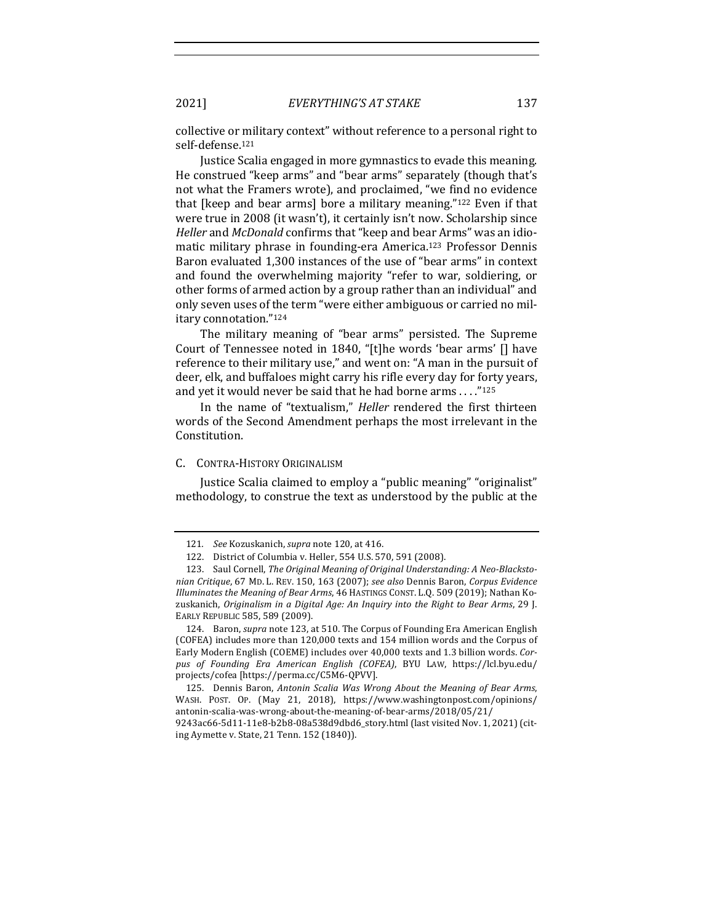collective or military context" without reference to a personal right to self-defense.121

Justice Scalia engaged in more gymnastics to evade this meaning. He construed "keep arms" and "bear arms" separately (though that's not what the Framers wrote), and proclaimed, "we find no evidence that [keep and bear arms] bore a military meaning." $122$  Even if that were true in 2008 (it wasn't), it certainly isn't now. Scholarship since *Heller* and *McDonald* confirms that "keep and bear Arms" was an idiomatic military phrase in founding-era America.<sup>123</sup> Professor Dennis Baron evaluated 1,300 instances of the use of "bear arms" in context and found the overwhelming majority "refer to war, soldiering, or other forms of armed action by a group rather than an individual" and only seven uses of the term "were either ambiguous or carried no military connotation."124

The military meaning of "bear arms" persisted. The Supreme Court of Tennessee noted in 1840, "[t]he words 'bear arms' [] have reference to their military use," and went on: "A man in the pursuit of deer, elk, and buffaloes might carry his rifle every day for forty years, and yet it would never be said that he had borne  $\arccos 1.125$ 

In the name of "textualism," *Heller* rendered the first thirteen words of the Second Amendment perhaps the most irrelevant in the Constitution.

## C. CONTRA-HISTORY ORIGINALISM

Justice Scalia claimed to employ a "public meaning" "originalist" methodology, to construe the text as understood by the public at the

<sup>121.</sup> *See* Kozuskanich, *supra* note 120, at 416.

<sup>122.</sup> District of Columbia v. Heller, 554 U.S. 570, 591 (2008).

<sup>123.</sup> Saul Cornell, The Original Meaning of Original Understanding: A Neo-Blacksto*nian Critique*, 67 MD. L. REV. 150, 163 (2007); *see also* Dennis Baron, *Corpus Evidence Illuminates the Meaning of Bear Arms,* 46 HASTINGS CONST. L.Q. 509 (2019); Nathan Kozuskanich, *Originalism in a Digital Age: An Inquiry into the Right to Bear Arms*, 29 J. EARLY REPUBLIC 585, 589 (2009).

<sup>124.</sup> Baron, *supra* note 123, at 510. The Corpus of Founding Era American English (COFEA) includes more than 120,000 texts and 154 million words and the Corpus of Early Modern English (COEME) includes over 40,000 texts and 1.3 billion words. *Corpus of Founding Era American English (COFEA)*, BYU LAW, https://lcl.byu.edu/ projects/cofea [https://perma.cc/C5M6-QPVV].

<sup>125.</sup> Dennis Baron, *Antonin Scalia Was Wrong About the Meaning of Bear Arms*, WASH. POST. OP. (May 21, 2018), https://www.washingtonpost.com/opinions/ antonin-scalia-was-wrong-about-the-meaning-of-bear-arms/2018/05/21/ 9243ac66-5d11-11e8-b2b8-08a538d9dbd6\_story.html (last visited Nov. 1, 2021) (cit-

ing Aymette v. State, 21 Tenn. 152 (1840)).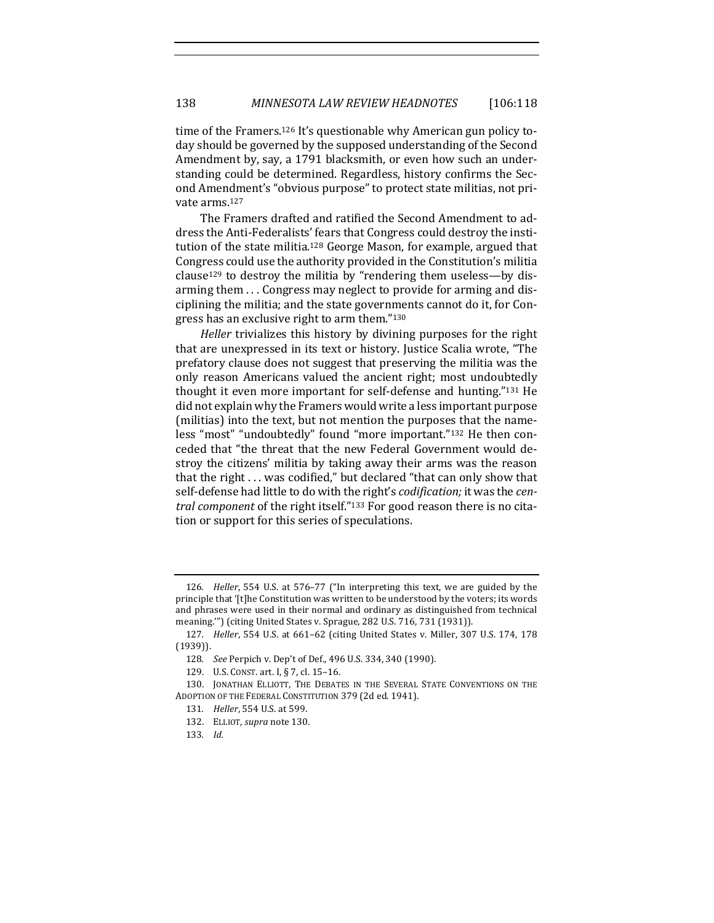time of the Framers.<sup>126</sup> It's questionable why American gun policy today should be governed by the supposed understanding of the Second Amendment by, say, a 1791 blacksmith, or even how such an understanding could be determined. Regardless, history confirms the Second Amendment's "obvious purpose" to protect state militias, not private arms.<sup>127</sup>

The Framers drafted and ratified the Second Amendment to address the Anti-Federalists' fears that Congress could destroy the institution of the state militia.<sup>128</sup> George Mason, for example, argued that Congress could use the authority provided in the Constitution's militia clause<sup>129</sup> to destroy the militia by "rendering them useless—by disarming them ... Congress may neglect to provide for arming and disciplining the militia; and the state governments cannot do it, for Congress has an exclusive right to arm them." $130$ 

*Heller* trivializes this history by divining purposes for the right that are unexpressed in its text or history. Justice Scalia wrote, "The prefatory clause does not suggest that preserving the militia was the only reason Americans valued the ancient right; most undoubtedly thought it even more important for self-defense and hunting."131 He did not explain why the Framers would write a less important purpose (militias) into the text, but not mention the purposes that the nameless "most" "undoubtedly" found "more important."<sup>132</sup> He then conceded that "the threat that the new Federal Government would destroy the citizens' militia by taking away their arms was the reason that the right  $\dots$  was codified," but declared "that can only show that self-defense had little to do with the right's *codification*; it was the *cen*tral component of the right itself."<sup>133</sup> For good reason there is no citation or support for this series of speculations.

133*. Id.*

<sup>126.</sup> *Heller*, 554 U.S. at 576-77 ("In interpreting this text, we are guided by the principle that  $^{\prime}$ [t]he Constitution was written to be understood by the voters; its words and phrases were used in their normal and ordinary as distinguished from technical meaning."") (citing United States v. Sprague, 282 U.S. 716, 731 (1931)).

<sup>127.</sup> *Heller*, 554 U.S. at 661-62 (citing United States v. Miller, 307 U.S. 174, 178 (1939)).

<sup>128.</sup> *See* Perpich v. Dep't of Def., 496 U.S. 334, 340 (1990).

<sup>129.</sup> U.S. CONST. art. I, § 7, cl. 15-16.

<sup>130.</sup> JONATHAN ELLIOTT, THE DEBATES IN THE SEVERAL STATE CONVENTIONS ON THE ADOPTION OF THE FEDERAL CONSTITUTION 379 (2d ed. 1941).

<sup>131.</sup> *Heller*, 554 U.S. at 599.

<sup>132.</sup> ELLIOT, *supra* note 130.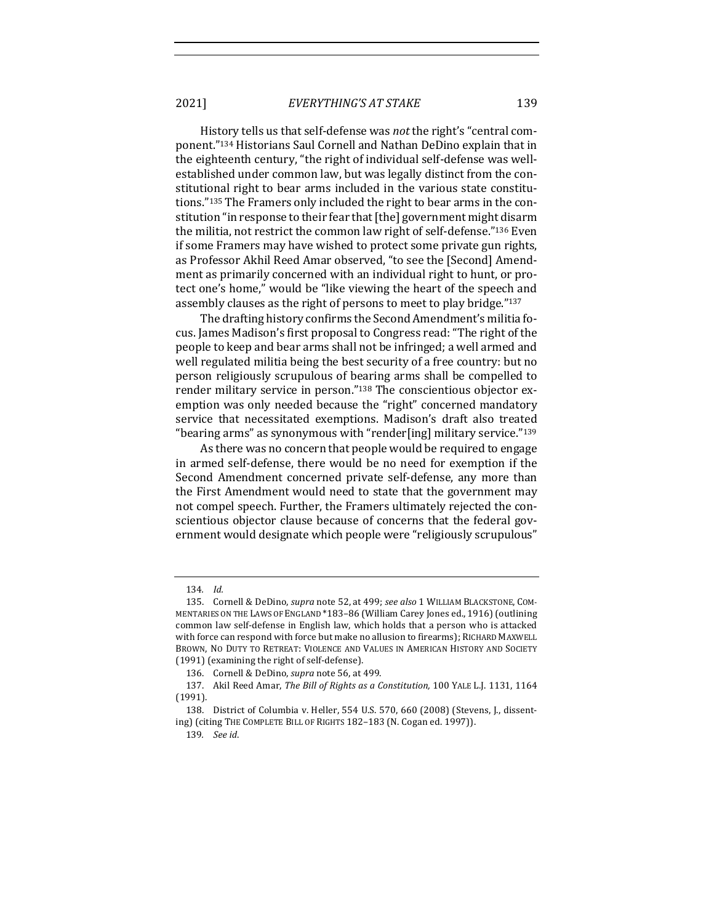2021] *EVERYTHING'S AT STAKE* 139

History tells us that self-defense was *not* the right's "central component."<sup>134</sup> Historians Saul Cornell and Nathan DeDino explain that in the eighteenth century, "the right of individual self-defense was wellestablished under common law, but was legally distinct from the constitutional right to bear arms included in the various state constitutions."<sup>135</sup> The Framers only included the right to bear arms in the constitution "in response to their fear that [the] government might disarm the militia, not restrict the common law right of self-defense." $136$  Even if some Framers may have wished to protect some private gun rights, as Professor Akhil Reed Amar observed, "to see the [Second] Amendment as primarily concerned with an individual right to hunt, or protect one's home," would be "like viewing the heart of the speech and assembly clauses as the right of persons to meet to play bridge."<sup>137</sup>

The drafting history confirms the Second Amendment's militia focus. James Madison's first proposal to Congress read: "The right of the people to keep and bear arms shall not be infringed; a well armed and well regulated militia being the best security of a free country: but no person religiously scrupulous of bearing arms shall be compelled to render military service in person."<sup>138</sup> The conscientious objector exemption was only needed because the "right" concerned mandatory service that necessitated exemptions. Madison's draft also treated "bearing arms" as synonymous with "render[ing] military service." $139$ 

As there was no concern that people would be required to engage in armed self-defense, there would be no need for exemption if the Second Amendment concerned private self-defense, any more than the First Amendment would need to state that the government may not compel speech. Further, the Framers ultimately rejected the conscientious objector clause because of concerns that the federal government would designate which people were "religiously scrupulous"

<sup>134</sup>*. Id.*

<sup>135.</sup> Cornell & DeDino, *supra* note 52, at 499; see also 1 WILLIAM BLACKSTONE, COM-MENTARIES ON THE LAWS OF ENGLAND \*183-86 (William Carey Jones ed., 1916) (outlining common law self-defense in English law, which holds that a person who is attacked with force can respond with force but make no allusion to firearms); RICHARD MAXWELL BROWN, NO DUTY TO RETREAT: VIOLENCE AND VALUES IN AMERICAN HISTORY AND SOCIETY (1991) (examining the right of self-defense).

<sup>136.</sup> Cornell & DeDino, *supra* note 56, at 499.

<sup>137.</sup> Akil Reed Amar, *The Bill of Rights as a Constitution*, 100 YALE L.J. 1131, 1164 (1991).

<sup>138.</sup> District of Columbia v. Heller, 554 U.S. 570, 660 (2008) (Stevens, J., dissenting) (citing THE COMPLETE BILL OF RIGHTS 182-183 (N. Cogan ed. 1997)).

<sup>139</sup>*. See id*.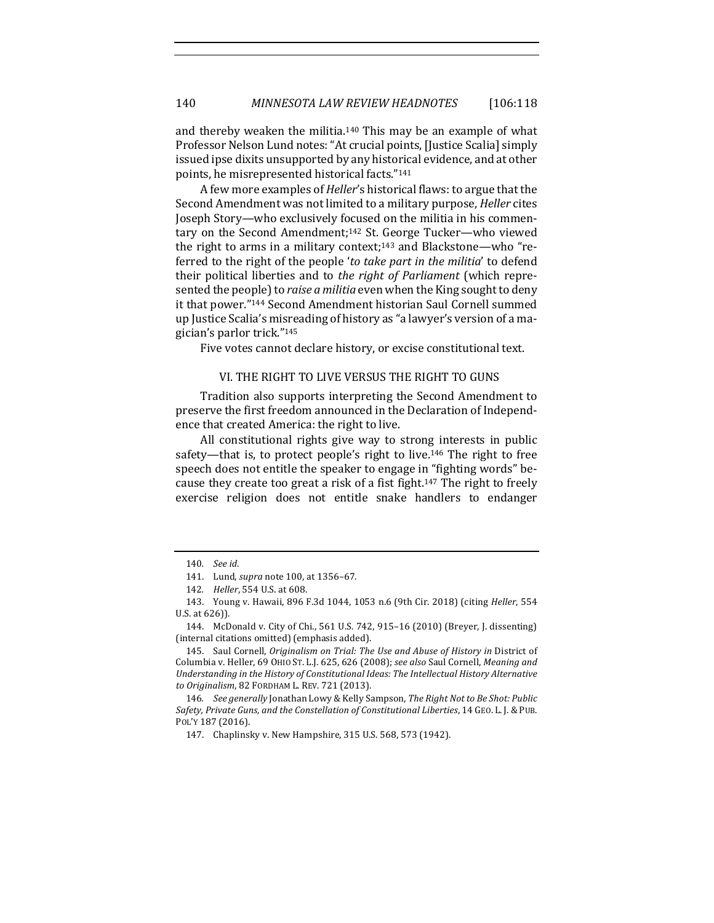and thereby weaken the militia.<sup>140</sup> This may be an example of what Professor Nelson Lund notes: "At crucial points, [Justice Scalia] simply issued ipse dixits unsupported by any historical evidence, and at other points, he misrepresented historical facts."<sup>141</sup>

A few more examples of *Heller's* historical flaws: to argue that the Second Amendment was not limited to a military purpose, *Heller* cites Joseph Story—who exclusively focused on the militia in his commentary on the Second Amendment;<sup>142</sup> St. George Tucker—who viewed the right to arms in a military context;<sup>143</sup> and Blackstone—who "referred to the right of the people 'to take part in the militia' to defend their political liberties and to *the right of Parliament* (which represented the people) to *raise a militia* even when the King sought to deny it that power."<sup>144</sup> Second Amendment historian Saul Cornell summed up Justice Scalia's misreading of history as "a lawyer's version of a magician's parlor trick."<sup>145</sup>

Five votes cannot declare history, or excise constitutional text.

### VI. THE RIGHT TO LIVE VERSUS THE RIGHT TO GUNS

Tradition also supports interpreting the Second Amendment to preserve the first freedom announced in the Declaration of Independence that created America: the right to live.

All constitutional rights give way to strong interests in public safety—that is, to protect people's right to live.<sup>146</sup> The right to free speech does not entitle the speaker to engage in "fighting words" because they create too great a risk of a fist fight.<sup>147</sup> The right to freely exercise religion does not entitle snake handlers to endanger

<sup>140</sup>*. See id*.

<sup>141.</sup> Lund, *supra* note 100, at 1356-67.

<sup>142.</sup> *Heller*, 554 U.S. at 608.

<sup>143.</sup> Young v. Hawaii, 896 F.3d 1044, 1053 n.6 (9th Cir. 2018) (citing *Heller*, 554 U.S. at 626)).

<sup>144.</sup> McDonald v. City of Chi., 561 U.S. 742, 915-16 (2010) (Breyer, J. dissenting) (internal citations omitted) (emphasis added).

<sup>145.</sup> Saul Cornell, *Originalism on Trial: The Use and Abuse of History in District of* Columbia v. Heller, 69 OHIO ST. L.J. 625, 626 (2008); see also Saul Cornell, Meaning and Understanding in the History of Constitutional Ideas: The Intellectual History Alternative to Originalism, 82 FORDHAM L. REV. 721 (2013).

<sup>146.</sup> *See generally* Jonathan Lowy & Kelly Sampson, *The Right Not to Be Shot: Public* Safety, Private Guns, and the Constellation of Constitutional Liberties, 14 GEO. L. J. & PUB. POL'Y 187 (2016).

<sup>147.</sup> Chaplinsky v. New Hampshire, 315 U.S. 568, 573 (1942).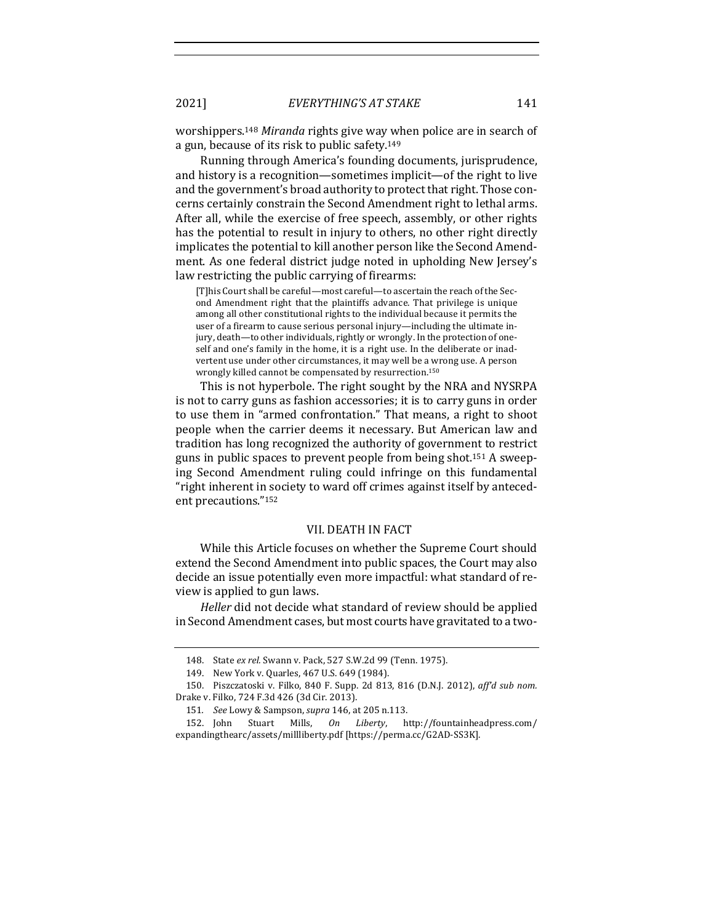worshippers.<sup>148</sup> Miranda rights give way when police are in search of a gun, because of its risk to public safety.<sup>149</sup>

Running through America's founding documents, jurisprudence, and history is a recognition—sometimes implicit—of the right to live and the government's broad authority to protect that right. Those concerns certainly constrain the Second Amendment right to lethal arms. After all, while the exercise of free speech, assembly, or other rights has the potential to result in injury to others, no other right directly implicates the potential to kill another person like the Second Amendment. As one federal district judge noted in upholding New Jersey's law restricting the public carrying of firearms:

[T]his Court shall be careful—most careful—to ascertain the reach of the Second Amendment right that the plaintiffs advance. That privilege is unique among all other constitutional rights to the individual because it permits the user of a firearm to cause serious personal injury—including the ultimate injury, death-to other individuals, rightly or wrongly. In the protection of oneself and one's family in the home, it is a right use. In the deliberate or inadvertent use under other circumstances, it may well be a wrong use. A person wrongly killed cannot be compensated by resurrection.<sup>150</sup>

This is not hyperbole. The right sought by the NRA and NYSRPA is not to carry guns as fashion accessories; it is to carry guns in order to use them in "armed confrontation." That means, a right to shoot people when the carrier deems it necessary. But American law and tradition has long recognized the authority of government to restrict guns in public spaces to prevent people from being shot.<sup>151</sup> A sweeping Second Amendment ruling could infringe on this fundamental "right inherent in society to ward off crimes against itself by antecedent precautions."<sup>152</sup>

### VII. DEATH IN FACT

While this Article focuses on whether the Supreme Court should extend the Second Amendment into public spaces, the Court may also decide an issue potentially even more impactful: what standard of review is applied to gun laws.

*Heller* did not decide what standard of review should be applied in Second Amendment cases, but most courts have gravitated to a two-

<sup>148.</sup> State ex rel. Swann v. Pack, 527 S.W.2d 99 (Tenn. 1975).

<sup>149.</sup> New York v. Quarles, 467 U.S. 649 (1984).

<sup>150.</sup> Piszczatoski v. Filko, 840 F. Supp. 2d 813, 816 (D.N.J. 2012), aff'd sub nom. Drake v. Filko, 724 F.3d 426 (3d Cir. 2013).

<sup>151</sup>*. See* Lowy & Sampson, *supra* 146, at 205 n.113.

<sup>152.</sup> John Stuart Mills, *On Liberty*, http://fountainheadpress.com/ expandingthearc/assets/millliberty.pdf [https://perma.cc/G2AD-SS3K].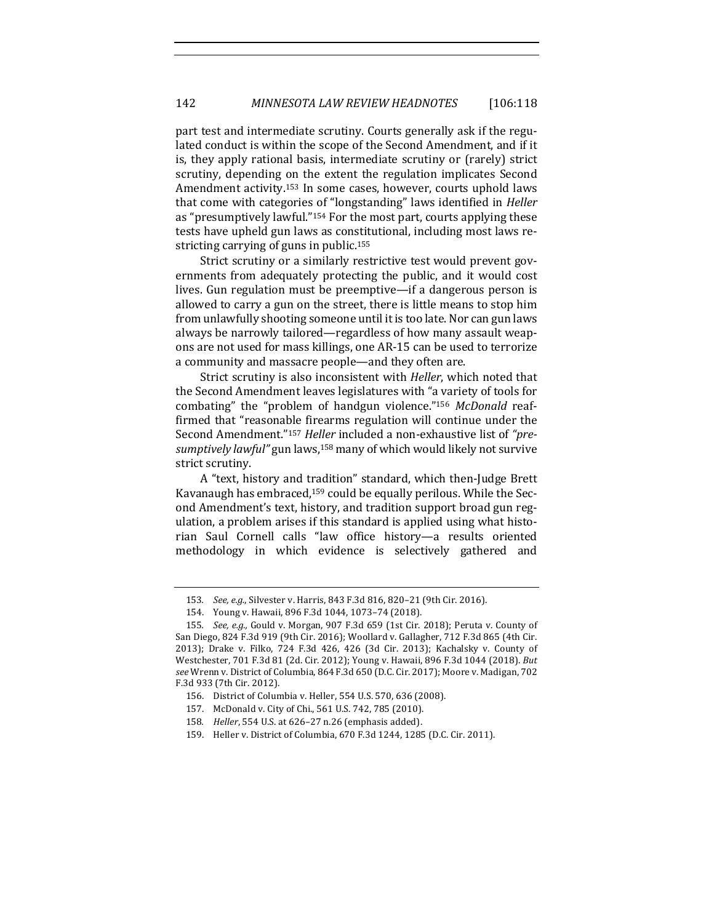part test and intermediate scrutiny. Courts generally ask if the regulated conduct is within the scope of the Second Amendment, and if it is, they apply rational basis, intermediate scrutiny or (rarely) strict scrutiny, depending on the extent the regulation implicates Second Amendment activity.<sup>153</sup> In some cases, however, courts uphold laws that come with categories of "longstanding" laws identified in *Heller* as "presumptively lawful."<sup>154</sup> For the most part, courts applying these tests have upheld gun laws as constitutional, including most laws restricting carrying of guns in public.<sup>155</sup>

Strict scrutiny or a similarly restrictive test would prevent governments from adequately protecting the public, and it would cost lives. Gun regulation must be preemptive—if a dangerous person is allowed to carry a gun on the street, there is little means to stop him from unlawfully shooting someone until it is too late. Nor can gun laws always be narrowly tailored—regardless of how many assault weapons are not used for mass killings, one AR-15 can be used to terrorize a community and massacre people—and they often are.

Strict scrutiny is also inconsistent with *Heller*, which noted that the Second Amendment leaves legislatures with "a variety of tools for combating" the "problem of handgun violence."<sup>156</sup> McDonald reaffirmed that "reasonable firearms regulation will continue under the Second Amendment."<sup>157</sup> Heller included a non-exhaustive list of "presumptively lawful" gun laws,<sup>158</sup> many of which would likely not survive strict scrutiny.

A "text, history and tradition" standard, which then-Judge Brett Kavanaugh has embraced,<sup>159</sup> could be equally perilous. While the Second Amendment's text, history, and tradition support broad gun regulation, a problem arises if this standard is applied using what historian Saul Cornell calls "law office history—a results oriented methodology in which evidence is selectively gathered and

<sup>153.</sup> *See, e.g.*, Silvester v. Harris, 843 F.3d 816, 820-21 (9th Cir. 2016).

<sup>154.</sup> Young v. Hawaii, 896 F.3d 1044, 1073-74 (2018).

<sup>155.</sup> *See, e.g.,* Gould v. Morgan, 907 F.3d 659 (1st Cir. 2018); Peruta v. County of San Diego, 824 F.3d 919 (9th Cir. 2016); Woollard v. Gallagher, 712 F.3d 865 (4th Cir. 2013); Drake v. Filko, 724 F.3d 426, 426 (3d Cir. 2013); Kachalsky v. County of Westchester, 701 F.3d 81 (2d. Cir. 2012); Young v. Hawaii, 896 F.3d 1044 (2018). *But* see Wrenn v. District of Columbia, 864 F.3d 650 (D.C. Cir. 2017); Moore v. Madigan, 702 F.3d 933 (7th Cir. 2012).

<sup>156.</sup> District of Columbia v. Heller, 554 U.S. 570, 636 (2008).

<sup>157.</sup> McDonald v. City of Chi., 561 U.S. 742, 785 (2010).

<sup>158.</sup> *Heller*, 554 U.S. at 626-27 n.26 (emphasis added).

<sup>159.</sup> Heller v. District of Columbia, 670 F.3d 1244, 1285 (D.C. Cir. 2011).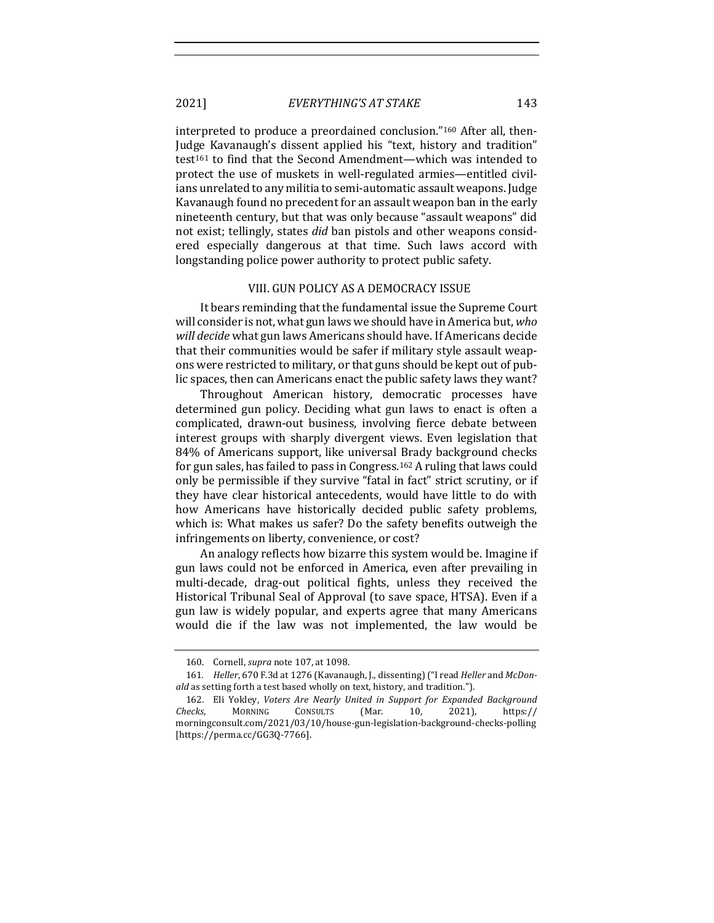interpreted to produce a preordained conclusion."<sup>160</sup> After all, then-Judge Kavanaugh's dissent applied his "text, history and tradition" test<sup>161</sup> to find that the Second Amendment—which was intended to protect the use of muskets in well-regulated armies—entitled civilians unrelated to any militia to semi-automatic assault weapons. Judge Kavanaugh found no precedent for an assault weapon ban in the early nineteenth century, but that was only because "assault weapons" did not exist; tellingly, states *did* ban pistols and other weapons considered especially dangerous at that time. Such laws accord with longstanding police power authority to protect public safety.

#### VIII. GUN POLICY AS A DEMOCRACY ISSUE

It bears reminding that the fundamental issue the Supreme Court will consider is not, what gun laws we should have in America but, who will *decide* what gun laws Americans should have. If Americans decide that their communities would be safer if military style assault weapons were restricted to military, or that guns should be kept out of public spaces, then can Americans enact the public safety laws they want?

Throughout American history, democratic processes have determined gun policy. Deciding what gun laws to enact is often a complicated, drawn-out business, involving fierce debate between interest groups with sharply divergent views. Even legislation that 84% of Americans support, like universal Brady background checks for gun sales, has failed to pass in Congress.<sup>162</sup> A ruling that laws could only be permissible if they survive "fatal in fact" strict scrutiny, or if they have clear historical antecedents, would have little to do with how Americans have historically decided public safety problems, which is: What makes us safer? Do the safety benefits outweigh the infringements on liberty, convenience, or cost?

An analogy reflects how bizarre this system would be. Imagine if gun laws could not be enforced in America, even after prevailing in multi-decade, drag-out political fights, unless they received the Historical Tribunal Seal of Approval (to save space, HTSA). Even if a gun law is widely popular, and experts agree that many Americans would die if the law was not implemented, the law would be

<sup>160.</sup> Cornell, *supra* note 107, at 1098.

<sup>161.</sup> Heller, 670 F.3d at 1276 (Kavanaugh, J., dissenting) ("I read *Heller* and *McDonald* as setting forth a test based wholly on text, history, and tradition.").

<sup>162.</sup> Eli Yokley, *Voters Are Nearly United in Support for Expanded Background Checks*, MORNING CONSULTS (Mar. 10, 2021), https:// morningconsult.com/2021/03/10/house-gun-legislation-background-checks-polling [https://perma.cc/GG3Q-7766].